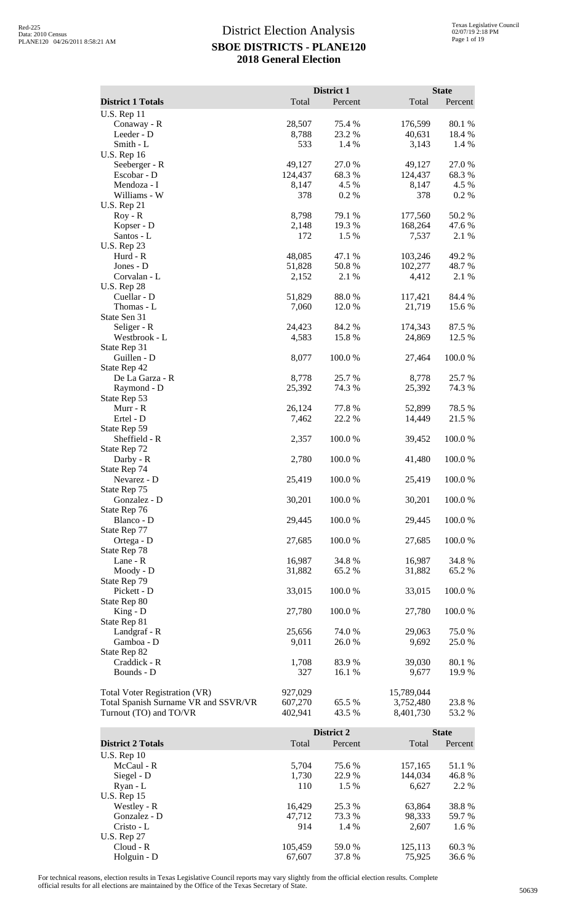|                                                                |                    | District 1       |                        | <b>State</b>     |
|----------------------------------------------------------------|--------------------|------------------|------------------------|------------------|
| <b>District 1 Totals</b>                                       | Total              | Percent          | Total                  | Percent          |
| <b>U.S. Rep 11</b>                                             |                    |                  |                        |                  |
| Conaway - R<br>Leeder - D                                      | 28,507<br>8,788    | 75.4 %<br>23.2 % | 176,599<br>40,631      | 80.1 %<br>18.4 % |
| Smith - L                                                      | 533                | 1.4 %            | 3,143                  | 1.4 %            |
| <b>U.S. Rep 16</b>                                             |                    |                  |                        |                  |
| Seeberger - R<br>Escobar - D                                   | 49,127<br>124,437  | 27.0%<br>68.3%   | 49,127<br>124,437      | 27.0%<br>68.3%   |
| Mendoza - I                                                    | 8,147              | 4.5 %            | 8,147                  | 4.5 %            |
| Williams - W                                                   | 378                | 0.2 %            | 378                    | 0.2 %            |
| <b>U.S. Rep 21</b><br>$Roy - R$                                | 8,798              | 79.1 %           | 177,560                | 50.2%            |
| Kopser - D                                                     | 2,148              | 19.3 %           | 168,264                | 47.6 %           |
| Santos - L                                                     | 172                | 1.5 %            | 7,537                  | 2.1 %            |
| <b>U.S. Rep 23</b><br>Hurd - R                                 | 48,085             | 47.1 %           | 103,246                | 49.2 %           |
| Jones - D                                                      | 51,828             | 50.8%            | 102,277                | 48.7%            |
| Corvalan - L                                                   | 2,152              | 2.1 %            | 4,412                  | 2.1 %            |
| <b>U.S. Rep 28</b><br>Cuellar - D                              | 51,829             | 88.0%            | 117,421                | 84.4 %           |
| Thomas - L                                                     | 7,060              | 12.0 %           | 21,719                 | 15.6 %           |
| State Sen 31                                                   |                    |                  |                        |                  |
| Seliger - R<br>Westbrook - L                                   | 24,423<br>4,583    | 84.2 %<br>15.8%  | 174,343<br>24,869      | 87.5 %<br>12.5 % |
| State Rep 31                                                   |                    |                  |                        |                  |
| Guillen - D                                                    | 8,077              | 100.0%           | 27,464                 | 100.0%           |
| State Rep 42<br>De La Garza - R                                | 8,778              | 25.7 %           | 8,778                  | 25.7 %           |
| Raymond - D                                                    | 25,392             | 74.3 %           | 25,392                 | 74.3 %           |
| State Rep 53                                                   |                    |                  |                        |                  |
| Murr - R<br>Ertel - D                                          | 26,124<br>7,462    | 77.8 %<br>22.2 % | 52,899<br>14,449       | 78.5 %<br>21.5 % |
| State Rep 59                                                   |                    |                  |                        |                  |
| Sheffield - R                                                  | 2,357              | 100.0%           | 39,452                 | 100.0%           |
| State Rep 72<br>Darby - R                                      | 2,780              | 100.0%           | 41,480                 | 100.0%           |
| State Rep 74                                                   |                    |                  |                        |                  |
| Nevarez - D                                                    | 25,419             | 100.0%           | 25,419                 | 100.0%           |
| State Rep 75<br>Gonzalez - D                                   | 30,201             | 100.0%           | 30,201                 | 100.0%           |
| State Rep 76                                                   |                    |                  |                        |                  |
| Blanco - D                                                     | 29,445             | 100.0%           | 29,445                 | 100.0%           |
| State Rep 77<br>Ortega - D                                     | 27,685             | 100.0%           | 27,685                 | 100.0%           |
| State Rep 78                                                   |                    |                  |                        |                  |
| Lane - R                                                       | 16,987             | 34.8%            | 16,987                 | 34.8%            |
| Moody - D                                                      | 31,882             | 65.2 %           | 31,882                 | 65.2%            |
| State Rep 79<br>Pickett - D                                    | 33,015             | 100.0%           | 33,015                 | 100.0%           |
| State Rep 80                                                   |                    |                  |                        |                  |
| King - D                                                       | 27,780             | 100.0%           | 27,780                 | 100.0%           |
| State Rep 81<br>Landgraf - R                                   | 25,656             | 74.0%            | 29,063                 | 75.0%            |
| Gamboa - D                                                     | 9,011              | 26.0%            | 9,692                  | 25.0 %           |
| State Rep 82                                                   |                    |                  |                        |                  |
| Craddick - R<br>Bounds - D                                     | 1,708<br>327       | 83.9%<br>16.1 %  | 39,030<br>9,677        | 80.1 %<br>19.9%  |
|                                                                |                    |                  |                        |                  |
| Total Voter Registration (VR)                                  | 927,029            |                  | 15,789,044             |                  |
| Total Spanish Surname VR and SSVR/VR<br>Turnout (TO) and TO/VR | 607,270<br>402,941 | 65.5 %<br>43.5 % | 3,752,480<br>8,401,730 | 23.8%<br>53.2 %  |
|                                                                |                    |                  |                        |                  |
|                                                                |                    | District 2       |                        | <b>State</b>     |
| <b>District 2 Totals</b>                                       | Total              | Percent          | Total                  | Percent          |
| <b>U.S. Rep 10</b><br>McCaul - R                               | 5,704              | 75.6%            | 157,165                | 51.1 %           |
| Siegel - D                                                     | 1,730              | 22.9%            | 144,034                | 46.8%            |
| Ryan - L                                                       | 110                | 1.5 %            | 6,627                  | 2.2 %            |
| <b>U.S. Rep 15</b><br>Westley - R                              | 16,429             | 25.3 %           | 63,864                 | 38.8%            |
| Gonzalez - D                                                   | 47,712             | 73.3 %           | 98,333                 | 59.7%            |
| Cristo - L                                                     | 914                | 1.4 %            | 2,607                  | 1.6%             |
| <b>U.S. Rep 27</b>                                             |                    |                  |                        |                  |

For technical reasons, election results in Texas Legislative Council reports may vary slightly from the official election results. Complete official results for all elections are maintained by the Office of the Texas Secretary of State. <sup>50639</sup>

Cloud - R 105,459 59.0 % 125,113 60.3 % Holguin - D 67,607 37.8 % 75,925 36.6 %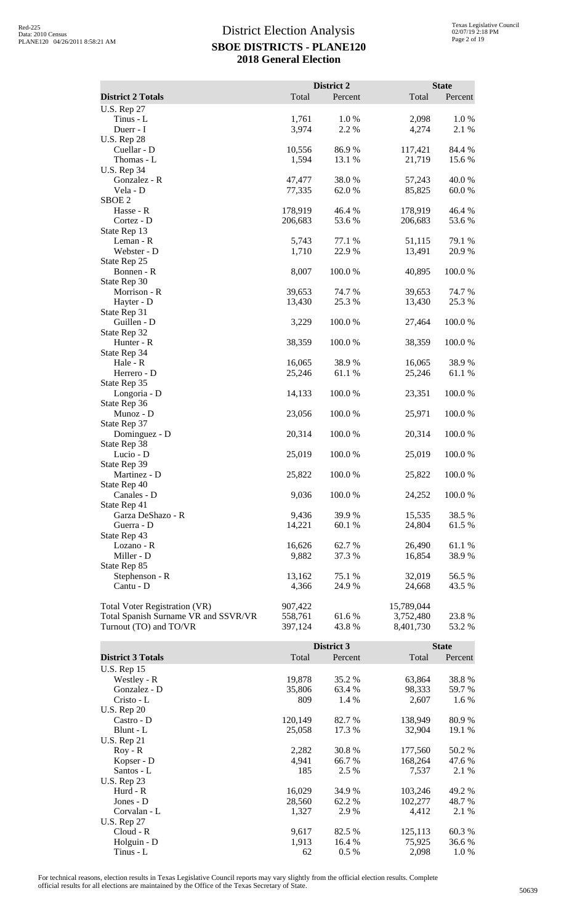|                                      |                    | District 2       |                    | <b>State</b>    |
|--------------------------------------|--------------------|------------------|--------------------|-----------------|
| <b>District 2 Totals</b>             | Total              | Percent          | Total              | Percent         |
| <b>U.S. Rep 27</b>                   |                    |                  |                    |                 |
| Tinus - L                            | 1,761              | 1.0%             | 2,098              | 1.0%            |
| Duerr - I                            | 3,974              | 2.2 %            | 4,274              | 2.1 %           |
| <b>U.S. Rep 28</b>                   |                    |                  |                    |                 |
| Cuellar - D<br>Thomas - L            | 10,556<br>1,594    | 86.9%<br>13.1 %  | 117,421<br>21,719  | 84.4 %<br>15.6% |
| <b>U.S. Rep 34</b>                   |                    |                  |                    |                 |
| Gonzalez - R                         | 47,477             | 38.0%            | 57,243             | 40.0%           |
| Vela - D                             | 77,335             | 62.0%            | 85,825             | 60.0%           |
| SBOE <sub>2</sub>                    |                    |                  |                    |                 |
| Hasse - R<br>Cortez - D              | 178,919<br>206,683 | 46.4 %<br>53.6%  | 178,919<br>206,683 | 46.4 %<br>53.6% |
| State Rep 13                         |                    |                  |                    |                 |
| Leman - R                            | 5,743              | 77.1 %           | 51,115             | 79.1 %          |
| Webster - D                          | 1,710              | 22.9%            | 13,491             | 20.9%           |
| State Rep 25                         |                    |                  |                    |                 |
| Bonnen - R<br>State Rep 30           | 8,007              | 100.0%           | 40,895             | 100.0%          |
| Morrison - R                         | 39,653             | 74.7 %           | 39,653             | 74.7%           |
| Hayter - D                           | 13,430             | 25.3 %           | 13,430             | 25.3 %          |
| State Rep 31                         |                    |                  |                    |                 |
| Guillen - D                          | 3,229              | 100.0%           | 27,464             | 100.0%          |
| State Rep 32<br>Hunter - R           | 38,359             | 100.0%           | 38,359             | 100.0%          |
| State Rep 34                         |                    |                  |                    |                 |
| Hale - R                             | 16,065             | 38.9%            | 16,065             | 38.9%           |
| Herrero - D                          | 25,246             | 61.1%            | 25,246             | 61.1%           |
| State Rep 35                         |                    |                  |                    |                 |
| Longoria - D                         | 14,133             | 100.0%           | 23,351             | 100.0%          |
| State Rep 36<br>Munoz - D            | 23,056             | 100.0%           | 25,971             | 100.0%          |
| State Rep 37                         |                    |                  |                    |                 |
| Dominguez - D                        | 20,314             | 100.0%           | 20,314             | 100.0%          |
| State Rep 38                         |                    |                  |                    |                 |
| Lucio - D                            | 25,019             | 100.0%           | 25,019             | 100.0%          |
| State Rep 39<br>Martinez - D         | 25,822             | 100.0%           | 25,822             | 100.0%          |
| State Rep 40                         |                    |                  |                    |                 |
| Canales - D                          | 9,036              | 100.0%           | 24,252             | 100.0%          |
| State Rep 41                         |                    |                  |                    |                 |
| Garza DeShazo - R                    | 9,436              | 39.9 %           | 15,535             | 38.5 %          |
| Guerra - D<br>State Rep 43           | 14,221             | 60.1 %           | 24,804             | 61.5 %          |
| Lozano - R                           | 16,626             | 62.7 %           | 26,490             | 61.1 %          |
| Miller - D                           | 9,882              | 37.3 %           | 16,854             | 38.9%           |
| State Rep 85                         |                    |                  |                    |                 |
| Stephenson - R                       | 13,162             | 75.1 %           | 32,019             | 56.5 %          |
| Cantu - D                            | 4,366              | 24.9%            | 24,668             | 43.5 %          |
| <b>Total Voter Registration (VR)</b> | 907,422            |                  | 15,789,044         |                 |
| Total Spanish Surname VR and SSVR/VR | 558,761            | 61.6 %           | 3,752,480          | 23.8 %          |
| Turnout (TO) and TO/VR               | 397,124            | 43.8%            | 8,401,730          | 53.2 %          |
|                                      |                    | District 3       |                    | <b>State</b>    |
| <b>District 3 Totals</b>             | Total              | Percent          | Total              | Percent         |
| <b>U.S. Rep 15</b>                   |                    |                  |                    |                 |
| Westley - R                          | 19,878             | 35.2 %           | 63,864             | 38.8%           |
| Gonzalez - D                         | 35,806             | 63.4 %           | 98,333             | 59.7 %          |
| Cristo - L                           | 809                | 1.4 %            | 2,607              | 1.6 %           |
| <b>U.S. Rep 20</b>                   |                    |                  |                    |                 |
| Castro - D<br>Blunt - L              | 120,149<br>25,058  | 82.7 %<br>17.3 % | 138,949<br>32,904  | 80.9%<br>19.1 % |
| <b>U.S. Rep 21</b>                   |                    |                  |                    |                 |
| $Roy - R$                            | 2,282              | 30.8%            | 177,560            | 50.2%           |
| Kopser - D                           | 4,941              | 66.7%            | 168,264            | 47.6 %          |
| Santos - L                           | 185                | 2.5 %            | 7,537              | 2.1 %           |

Hurd - R 16,029 34.9 % 103,246 49.2 % Jones - D 28,560 62.2 % 102,277 48.7 % Prices Find - R<br>
Hurd - R<br>
Jones - D<br>
Corvalan - L<br>
Corvalan - L<br>
Corvalan - L<br>
Corvalan - L<br>
Corvalan - L<br>
Corvalan - L<br>
Corvalan - L<br>
Corvalan - L<br>
Corvalan - L<br>
Corvalan - L<br>
Corvalan - L<br>
Corvalan - L<br>
Corvalan - L<br>
Co

Cloud - R<br>
Holguin - D<br>
Holguin - D<br>
Cloud - R<br>  $9,617$ <br>  $82.5 %$ <br>  $125,113$ <br>  $60.3 %$ <br>  $75,925$ <br>  $36.6 %$ Holguin - D<br>
Tinus - L<br>  $\begin{array}{ccc}\n1,913 \\
62 \\
\hline\n62\n\end{array}$ 16.4 % 75,925 36.6 %<br>  $75,925$  36.6 %<br>  $2,098$  1.0 % Tinus - L 62 62 6.5 % 2,098 1.0 %

U.S. Rep 23

U.S. Rep 27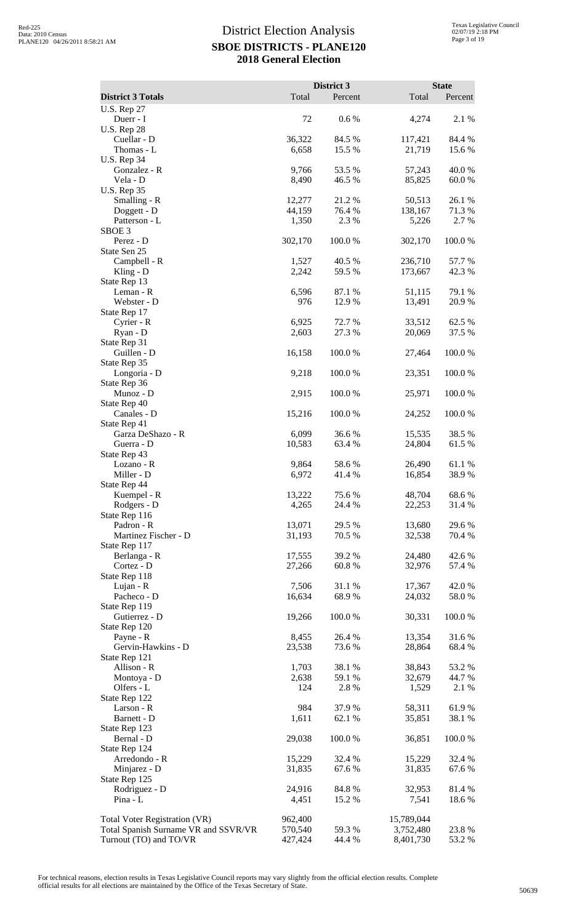|                                                                       |                    | District 3       |                         | <b>State</b>    |
|-----------------------------------------------------------------------|--------------------|------------------|-------------------------|-----------------|
| <b>District 3 Totals</b>                                              | Total              | Percent          | Total                   | Percent         |
| <b>U.S. Rep 27</b>                                                    |                    |                  |                         |                 |
| Duerr - I                                                             | 72                 | 0.6 %            | 4,274                   | 2.1 %           |
| <b>U.S. Rep 28</b><br>Cuellar - D                                     | 36,322             | 84.5 %           | 117,421                 | 84.4 %          |
| Thomas - L                                                            | 6,658              | 15.5 %           | 21,719                  | 15.6 %          |
| <b>U.S. Rep 34</b>                                                    |                    |                  |                         |                 |
| Gonzalez - R<br>Vela - D                                              | 9,766<br>8,490     | 53.5 %<br>46.5 % | 57,243                  | 40.0%           |
| <b>U.S. Rep 35</b>                                                    |                    |                  | 85,825                  | 60.0%           |
| Smalling - R                                                          | 12,277             | 21.2%            | 50,513                  | 26.1%           |
| Doggett - D                                                           | 44,159             | 76.4 %           | 138,167                 | 71.3%           |
| Patterson - L<br>SBOE <sub>3</sub>                                    | 1,350              | 2.3 %            | 5,226                   | 2.7 %           |
| Perez - D                                                             | 302,170            | 100.0%           | 302,170                 | 100.0%          |
| State Sen 25                                                          |                    |                  |                         |                 |
| Campbell - R                                                          | 1,527              | 40.5 %           | 236,710                 | 57.7%           |
| Kling - $D$<br>State Rep 13                                           | 2,242              | 59.5 %           | 173,667                 | 42.3 %          |
| Leman - R                                                             | 6,596              | 87.1 %           | 51,115                  | 79.1 %          |
| Webster - D                                                           | 976                | 12.9 %           | 13,491                  | 20.9%           |
| State Rep 17                                                          |                    |                  |                         |                 |
| Cyrier - R                                                            | 6,925              | 72.7 %           | 33,512                  | 62.5 %          |
| Ryan - D<br>State Rep 31                                              | 2,603              | 27.3 %           | 20,069                  | 37.5 %          |
| Guillen - D                                                           | 16,158             | 100.0%           | 27,464                  | 100.0%          |
| State Rep 35                                                          |                    |                  |                         |                 |
| Longoria - D                                                          | 9,218              | 100.0%           | 23,351                  | 100.0%          |
| State Rep 36<br>Munoz - D                                             | 2,915              | 100.0%           | 25,971                  | 100.0%          |
| State Rep 40                                                          |                    |                  |                         |                 |
| Canales - D                                                           | 15,216             | 100.0%           | 24,252                  | 100.0%          |
| State Rep 41                                                          |                    |                  |                         |                 |
| Garza DeShazo - R                                                     | 6,099              | 36.6 %           | 15,535                  | 38.5 %          |
| Guerra - D<br>State Rep 43                                            | 10,583             | 63.4 %           | 24,804                  | 61.5%           |
| Lozano - R                                                            | 9,864              | 58.6%            | 26,490                  | 61.1%           |
| Miller - D                                                            | 6,972              | 41.4%            | 16,854                  | 38.9%           |
| State Rep 44                                                          |                    |                  |                         |                 |
| Kuempel - R<br>Rodgers - D                                            | 13,222<br>4,265    | 75.6%<br>24.4 %  | 48,704<br>22,253        | 68.6%<br>31.4 % |
| State Rep 116                                                         |                    |                  |                         |                 |
| Padron - R                                                            | 13,071             | 29.5 %           | 13,680                  | 29.6%           |
| Martinez Fischer - D                                                  | 31,193             | 70.5 %           | 32,538                  | 70.4 %          |
| State Rep 117<br>Berlanga - R                                         | 17,555             | 39.2 %           | 24,480                  | 42.6 %          |
| Cortez - D                                                            | 27,266             | 60.8%            | 32,976                  | 57.4 %          |
| State Rep 118                                                         |                    |                  |                         |                 |
| Lujan - R                                                             | 7,506              | 31.1 %           | 17,367                  | 42.0 %          |
| Pacheco - D                                                           | 16,634             | 68.9%            | 24,032                  | 58.0%           |
| State Rep 119<br>Gutierrez - D                                        | 19,266             | 100.0%           | 30,331                  | 100.0%          |
| State Rep 120                                                         |                    |                  |                         |                 |
| Payne - R                                                             | 8,455              | 26.4 %           | 13,354                  | 31.6%           |
| Gervin-Hawkins - D                                                    | 23,538             | 73.6 %           | 28,864                  | 68.4%           |
| State Rep 121<br>Allison - R                                          | 1,703              | 38.1 %           | 38,843                  | 53.2 %          |
| Montoya - D                                                           | 2,638              | 59.1 %           | 32,679                  | 44.7 %          |
| Olfers - L                                                            | 124                | 2.8 %            | 1,529                   | 2.1 %           |
| State Rep 122                                                         |                    |                  |                         |                 |
| Larson - R<br>Barnett - D                                             | 984<br>1,611       | 37.9 %<br>62.1 % | 58,311<br>35,851        | 61.9%<br>38.1 % |
| State Rep 123                                                         |                    |                  |                         |                 |
| Bernal - D                                                            | 29,038             | 100.0%           | 36,851                  | 100.0%          |
| State Rep 124                                                         |                    |                  |                         |                 |
| Arredondo - R                                                         | 15,229<br>31,835   | 32.4 %<br>67.6%  | 15,229<br>31,835        | 32.4 %<br>67.6% |
| Minjarez - D<br>State Rep 125                                         |                    |                  |                         |                 |
| Rodriguez - D                                                         | 24,916             | 84.8%            | 32,953                  | 81.4 %          |
| Pina - L                                                              | 4,451              | 15.2 %           | 7,541                   | 18.6 %          |
|                                                                       |                    |                  |                         |                 |
| Total Voter Registration (VR)<br>Total Spanish Surname VR and SSVR/VR | 962,400<br>570,540 | 59.3 %           | 15,789,044<br>3,752,480 | 23.8%           |
| Turnout (TO) and TO/VR                                                | 427,424            | 44.4 %           | 8,401,730               | 53.2 %          |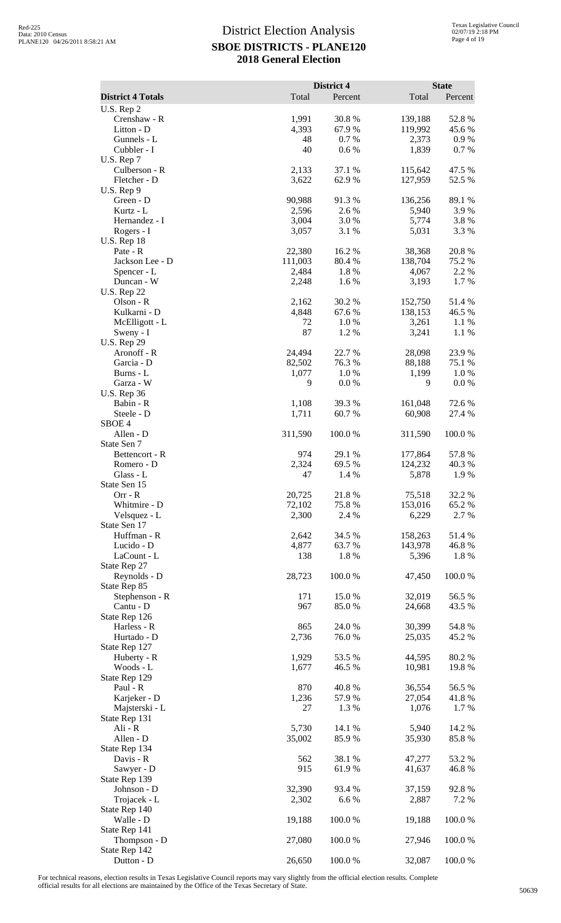|                                   |                 | District 4       |                    | <b>State</b>     |
|-----------------------------------|-----------------|------------------|--------------------|------------------|
| <b>District 4 Totals</b>          | Total           | Percent          | Total              | Percent          |
| U.S. Rep 2<br>Crenshaw - R        | 1,991           | 30.8%            | 139,188            | 52.8%            |
| Litton - D                        | 4,393           | 67.9%            | 119,992            | 45.6%            |
| Gunnels - L                       | 48              | 0.7%             | 2,373              | 0.9%             |
| Cubbler - I                       | 40              | 0.6%             | 1,839              | 0.7 %            |
| U.S. Rep 7                        |                 |                  |                    |                  |
| Culberson - R<br>Fletcher - D     | 2,133<br>3,622  | 37.1 %<br>62.9%  | 115,642<br>127,959 | 47.5 %<br>52.5 % |
| U.S. Rep 9                        |                 |                  |                    |                  |
| Green - D                         | 90,988          | 91.3%            | 136,256            | 89.1 %           |
| Kurtz - L                         | 2,596           | 2.6 %            | 5,940              | 3.9%             |
| Hernandez - I<br>Rogers - I       | 3,004<br>3,057  | 3.0%<br>3.1 %    | 5,774<br>5,031     | 3.8%<br>3.3 %    |
| <b>U.S. Rep 18</b>                |                 |                  |                    |                  |
| Pate - R                          | 22,380          | 16.2%            | 38,368             | 20.8%            |
| Jackson Lee - D                   | 111,003         | 80.4%            | 138,704            | 75.2 %           |
| Spencer - L                       | 2,484           | 1.8%             | 4,067              | 2.2 %            |
| Duncan - W<br><b>U.S. Rep 22</b>  | 2,248           | 1.6%             | 3,193              | 1.7%             |
| Olson - R                         | 2,162           | 30.2 %           | 152,750            | 51.4%            |
| Kulkarni - D                      | 4,848           | 67.6%            | 138,153            | 46.5 %           |
| McElligott - L                    | 72              | 1.0%             | 3,261              | 1.1 %            |
| Sweny - I                         | 87              | 1.2%             | 3,241              | 1.1 %            |
| <b>U.S. Rep 29</b><br>Aronoff - R | 24,494          | 22.7 %           | 28,098             | 23.9%            |
| Garcia - D                        | 82,502          | 76.3%            | 88,188             | 75.1 %           |
| Burns - L                         | 1,077           | 1.0%             | 1,199              | 1.0%             |
| Garza - W                         | 9               | 0.0 %            | 9                  | 0.0 %            |
| <b>U.S. Rep 36</b><br>Babin - R   | 1,108           | 39.3 %           | 161,048            | 72.6 %           |
| Steele - D                        | 1,711           | 60.7%            | 60,908             | 27.4 %           |
| SBOE <sub>4</sub>                 |                 |                  |                    |                  |
| Allen - D                         | 311,590         | 100.0%           | 311,590            | 100.0%           |
| State Sen 7                       |                 |                  |                    |                  |
| Bettencort - R<br>Romero - D      | 974<br>2,324    | 29.1 %<br>69.5 % | 177,864<br>124,232 | 57.8 %<br>40.3%  |
| Glass - L                         | 47              | 1.4 %            | 5,878              | 1.9%             |
| State Sen 15                      |                 |                  |                    |                  |
| $Orr - R$                         | 20,725          | 21.8 %           | 75,518             | 32.2 %           |
| Whitmire - D                      | 72,102<br>2,300 | 75.8%            | 153,016<br>6,229   | 65.2%            |
| Velsquez - L<br>State Sen 17      |                 | 2.4 %            |                    | 2.7 %            |
| Huffman - R                       | 2,642           | 34.5 %           | 158,263            | 51.4%            |
| Lucido - D                        | 4,877           | 63.7%            | 143,978            | 46.8%            |
| LaCount - L                       | 138             | 1.8%             | 5,396              | 1.8%             |
| State Rep 27<br>Reynolds - D      | 28,723          | 100.0%           | 47,450             | 100.0%           |
| State Rep 85                      |                 |                  |                    |                  |
| Stephenson - R                    | 171             | 15.0%            | 32,019             | 56.5 %           |
| Cantu - D                         | 967             | 85.0%            | 24,668             | 43.5 %           |
| State Rep 126                     |                 |                  |                    |                  |
| Harless - R<br>Hurtado - D        | 865<br>2,736    | 24.0%<br>76.0%   | 30,399<br>25,035   | 54.8%<br>45.2 %  |
| State Rep 127                     |                 |                  |                    |                  |
| Huberty - R                       | 1,929           | 53.5 %           | 44,595             | 80.2%            |
| Woods - L                         | 1,677           | 46.5 %           | 10,981             | 19.8%            |
| State Rep 129<br>Paul - R         | 870             | 40.8%            | 36,554             | 56.5 %           |
| Karjeker - D                      | 1,236           | 57.9%            | 27,054             | 41.8%            |
| Majsterski - L                    | 27              | 1.3 %            | 1,076              | 1.7%             |
| State Rep 131                     |                 |                  |                    |                  |
| Ali - R                           | 5,730           | 14.1 %           | 5,940              | 14.2 %           |
| Allen - D<br>State Rep 134        | 35,002          | 85.9%            | 35,930             | 85.8%            |
| Davis - R                         | 562             | 38.1 %           | 47,277             | 53.2 %           |
| Sawyer - D                        | 915             | 61.9%            | 41,637             | 46.8%            |
| State Rep 139                     |                 |                  |                    |                  |
| Johnson - D                       | 32,390          | 93.4 %           | 37,159             | 92.8%            |
| Trojacek - L<br>State Rep 140     | 2,302           | 6.6%             | 2,887              | 7.2 %            |
| Walle - D                         | 19,188          | 100.0%           | 19,188             | 100.0%           |
| State Rep 141                     |                 |                  |                    |                  |
| Thompson - D                      | 27,080          | 100.0%           | 27,946             | 100.0%           |
| State Rep 142<br>Dutton - D       | 26,650          | 100.0%           | 32,087             | 100.0%           |
|                                   |                 |                  |                    |                  |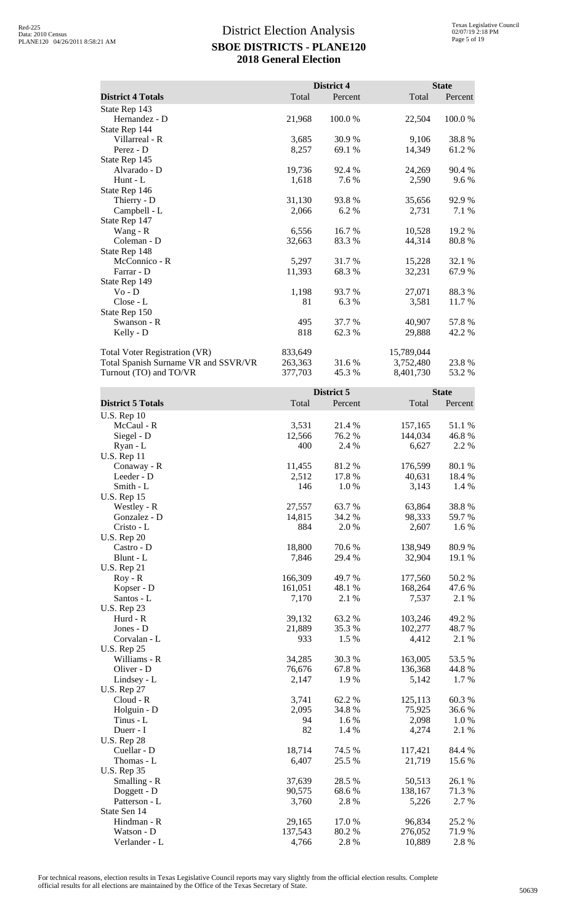|                                                                |                    | District 4      |                         | <b>State</b>     |
|----------------------------------------------------------------|--------------------|-----------------|-------------------------|------------------|
| <b>District 4 Totals</b>                                       | Total              | Percent         | Total                   | Percent          |
| State Rep 143                                                  |                    |                 |                         |                  |
| Hernandez - D<br>State Rep 144                                 | 21,968             | 100.0%          | 22,504                  | 100.0%           |
| Villarreal - R                                                 | 3,685              | 30.9 %          | 9,106                   | 38.8%            |
| Perez - D                                                      | 8,257              | 69.1 %          | 14,349                  | 61.2%            |
| State Rep 145<br>Alvarado - D                                  | 19,736             | 92.4 %          | 24,269                  | 90.4 %           |
| Hunt - $L$                                                     | 1,618              | 7.6%            | 2,590                   | 9.6 %            |
| State Rep 146                                                  |                    |                 |                         |                  |
| Thierry - D                                                    | 31,130             | 93.8%           | 35,656                  | 92.9%            |
| Campbell - L<br>State Rep 147                                  | 2,066              | 6.2 %           | 2,731                   | 7.1 %            |
| Wang - R                                                       | 6,556              | 16.7%           | 10,528                  | 19.2 %           |
| Coleman - D                                                    | 32,663             | 83.3 %          | 44,314                  | 80.8%            |
| State Rep 148                                                  |                    |                 |                         |                  |
| McConnico - R<br>Farrar - D                                    | 5,297<br>11,393    | 31.7%<br>68.3%  | 15,228<br>32,231        | 32.1 %<br>67.9%  |
| State Rep 149                                                  |                    |                 |                         |                  |
| $Vo - D$                                                       | 1,198              | 93.7%           | 27,071                  | 88.3%            |
| Close - L                                                      | 81                 | 6.3%            | 3,581                   | 11.7 %           |
| State Rep 150<br>Swanson - R                                   | 495                | 37.7 %          | 40,907                  | 57.8%            |
| Kelly - D                                                      | 818                | 62.3%           | 29,888                  | 42.2 %           |
|                                                                |                    |                 |                         |                  |
| <b>Total Voter Registration (VR)</b>                           | 833,649<br>263,363 | 31.6%           | 15,789,044<br>3,752,480 | 23.8%            |
| Total Spanish Surname VR and SSVR/VR<br>Turnout (TO) and TO/VR | 377,703            | 45.3%           | 8,401,730               | 53.2 %           |
|                                                                |                    |                 |                         |                  |
|                                                                |                    | District 5      |                         | <b>State</b>     |
| <b>District 5 Totals</b>                                       | Total              | Percent         | Total                   | Percent          |
| <b>U.S. Rep 10</b><br>McCaul - R                               | 3,531              | 21.4 %          | 157,165                 | 51.1 %           |
| Siegel - D                                                     | 12,566             | 76.2 %          | 144,034                 | 46.8%            |
| Ryan - L                                                       | 400                | 2.4 %           | 6,627                   | 2.2 %            |
| <b>U.S. Rep 11</b>                                             |                    |                 |                         |                  |
| Conaway - R<br>Leeder - D                                      | 11,455<br>2,512    | 81.2%<br>17.8 % | 176,599<br>40,631       | 80.1 %<br>18.4 % |
| Smith - L                                                      | 146                | 1.0 %           | 3,143                   | 1.4 %            |
| <b>U.S. Rep 15</b>                                             |                    |                 |                         |                  |
| Westley - R                                                    | 27,557             | 63.7%           | 63,864                  | 38.8%            |
| Gonzalez - D<br>Cristo - L                                     | 14,815<br>884      | 34.2 %<br>2.0%  | 98,333<br>2,607         | 59.7%<br>1.6%    |
| <b>U.S. Rep 20</b>                                             |                    |                 |                         |                  |
| Castro - D                                                     | 18,800             | 70.6%           | 138,949                 | 80.9%            |
| Blunt - L                                                      | 7,846              | 29.4 %          | 32,904                  | 19.1 %           |
| <b>U.S. Rep 21</b><br>$Roy - R$                                | 166,309            | 49.7 %          | 177,560                 | 50.2 %           |
| Kopser - D                                                     | 161,051            | 48.1 %          | 168,264                 | 47.6 %           |
| Santos - L                                                     | 7,170              | 2.1 %           | 7,537                   | 2.1 %            |
| <b>U.S. Rep 23</b>                                             |                    |                 |                         |                  |
| Hurd - R                                                       | 39,132             | 63.2%           | 103,246                 | 49.2%            |
| Jones - D<br>Corvalan - L                                      | 21,889<br>933      | 35.3 %<br>1.5 % | 102,277<br>4,412        | 48.7%<br>2.1 %   |
| <b>U.S. Rep 25</b>                                             |                    |                 |                         |                  |
| Williams - R                                                   | 34,285             | 30.3%           | 163,005                 | 53.5 %           |
| Oliver - D                                                     | 76,676             | 67.8%           | 136,368                 | 44.8%            |
| Lindsey - L<br><b>U.S. Rep 27</b>                              | 2,147              | 1.9 %           | 5,142                   | 1.7 %            |
| Cloud - R                                                      | 3,741              | 62.2%           | 125,113                 | 60.3%            |
| Holguin - D                                                    | 2,095              | 34.8%           | 75,925                  | 36.6%            |
| Tinus - L                                                      | 94                 | 1.6%            | 2,098                   | 1.0%             |
| Duerr - I<br><b>U.S. Rep 28</b>                                | 82                 | 1.4 %           | 4,274                   | 2.1 %            |
| Cuellar - D                                                    | 18,714             | 74.5 %          | 117,421                 | 84.4 %           |
| Thomas - L                                                     | 6,407              | 25.5 %          | 21,719                  | 15.6 %           |
| <b>U.S. Rep 35</b>                                             |                    |                 |                         |                  |
| Smalling - R                                                   | 37,639             | 28.5 %          | 50,513                  | 26.1 %           |
| Doggett - D<br>Patterson - L                                   | 90,575<br>3,760    | 68.6%<br>2.8%   | 138,167<br>5,226        | 71.3%<br>2.7 %   |
| State Sen 14                                                   |                    |                 |                         |                  |
| Hindman - R                                                    | 29,165             | 17.0 %          | 96,834                  | 25.2 %           |
| Watson - D                                                     | 137,543            | 80.2%           | 276,052                 | 71.9 %           |
| Verlander - L                                                  | 4,766              | 2.8%            | 10,889                  | 2.8%             |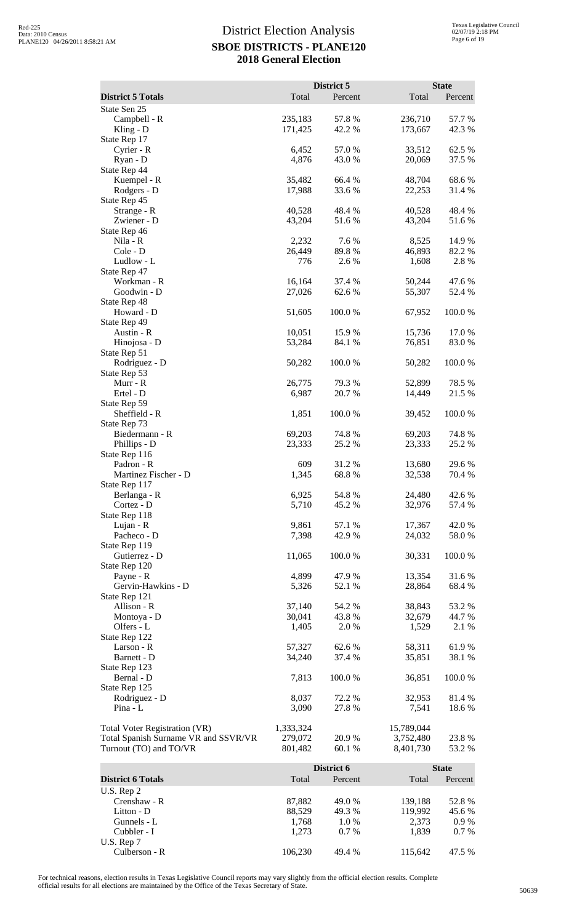|                                                                |                    | District 5       |                        | <b>State</b>     |
|----------------------------------------------------------------|--------------------|------------------|------------------------|------------------|
| <b>District 5 Totals</b>                                       | Total              | Percent          | Total                  | Percent          |
| State Sen 25                                                   |                    |                  |                        |                  |
| Campbell - R                                                   | 235,183            | 57.8 %           | 236,710                | 57.7 %           |
| Kling - $D$                                                    | 171,425            | 42.2 %           | 173,667                | 42.3 %           |
| State Rep 17<br>Cyrier - R                                     | 6,452              | 57.0%            | 33,512                 | 62.5 %           |
| Ryan - D                                                       | 4,876              | 43.0%            | 20,069                 | 37.5 %           |
| State Rep 44                                                   |                    |                  |                        |                  |
| Kuempel - R                                                    | 35,482             | 66.4 %           | 48,704                 | 68.6%            |
| Rodgers - D<br>State Rep 45                                    | 17,988             | 33.6 %           | 22,253                 | 31.4 %           |
| Strange - R                                                    | 40,528             | 48.4 %           | 40,528                 | 48.4%            |
| Zwiener - D                                                    | 43,204             | 51.6%            | 43,204                 | 51.6%            |
| State Rep 46<br>Nila - R                                       | 2,232              | 7.6%             | 8,525                  | 14.9%            |
| Cole - D                                                       | 26,449             | 89.8%            | 46,893                 | 82.2%            |
| Ludlow - L                                                     | 776                | 2.6 %            | 1,608                  | 2.8 %            |
| State Rep 47                                                   |                    |                  |                        |                  |
| Workman - R<br>Goodwin - D                                     | 16,164<br>27,026   | 37.4 %<br>62.6 % | 50,244<br>55,307       | 47.6 %<br>52.4 % |
| State Rep 48                                                   |                    |                  |                        |                  |
| Howard - D                                                     | 51,605             | 100.0%           | 67,952                 | 100.0%           |
| State Rep 49                                                   |                    |                  |                        |                  |
| Austin - R<br>Hinojosa - D                                     | 10,051<br>53,284   | 15.9%<br>84.1 %  | 15,736<br>76,851       | 17.0%<br>83.0 %  |
| State Rep 51                                                   |                    |                  |                        |                  |
| Rodriguez - D                                                  | 50,282             | 100.0%           | 50,282                 | 100.0 %          |
| State Rep 53                                                   |                    |                  |                        |                  |
| Murr - R<br>Ertel - D                                          | 26,775<br>6,987    | 79.3 %<br>20.7%  | 52,899<br>14,449       | 78.5 %<br>21.5 % |
| State Rep 59                                                   |                    |                  |                        |                  |
| Sheffield - R                                                  | 1,851              | 100.0%           | 39,452                 | 100.0%           |
| State Rep 73                                                   |                    |                  |                        |                  |
| Biedermann - R<br>Phillips - D                                 | 69,203<br>23,333   | 74.8%<br>25.2 %  | 69,203<br>23,333       | 74.8%<br>25.2 %  |
| State Rep 116                                                  |                    |                  |                        |                  |
| Padron - R                                                     | 609                | 31.2%            | 13,680                 | 29.6%            |
| Martinez Fischer - D                                           | 1,345              | 68.8%            | 32,538                 | 70.4 %           |
| State Rep 117<br>Berlanga - R                                  | 6,925              | 54.8%            | 24,480                 | 42.6 %           |
| Cortez - D                                                     | 5,710              | 45.2 %           | 32,976                 | 57.4 %           |
| State Rep 118                                                  |                    |                  |                        |                  |
| Lujan - R                                                      | 9,861              | 57.1 %           | 17,367                 | 42.0%            |
| Pacheco - D<br>State Rep 119                                   | 7,398              | 42.9 %           | 24,032                 | 58.0%            |
| Gutierrez - D                                                  | 11,065             | 100.0 %          | 30,331                 | 100.0%           |
| State Rep 120                                                  |                    |                  |                        |                  |
| Payne - R                                                      | 4,899              | 47.9%            | 13,354                 | 31.6%            |
| Gervin-Hawkins - D<br>State Rep 121                            | 5,326              | 52.1 %           | 28,864                 | 68.4%            |
| Allison - R                                                    | 37,140             | 54.2 %           | 38,843                 | 53.2 %           |
| Montoya - D                                                    | 30,041             | 43.8%            | 32,679                 | 44.7 %           |
| Olfers - L                                                     | 1,405              | 2.0%             | 1,529                  | 2.1 %            |
| State Rep 122<br>Larson - R                                    | 57,327             | 62.6 %           | 58,311                 | 61.9%            |
| Barnett - D                                                    | 34,240             | 37.4 %           | 35,851                 | 38.1 %           |
| State Rep 123                                                  |                    |                  |                        |                  |
| Bernal - D                                                     | 7,813              | 100.0%           | 36,851                 | 100.0%           |
| State Rep 125<br>Rodriguez - D                                 | 8,037              | 72.2 %           | 32,953                 | 81.4%            |
| Pina - L                                                       | 3,090              | 27.8 %           | 7,541                  | 18.6%            |
|                                                                |                    |                  |                        |                  |
| <b>Total Voter Registration (VR)</b>                           | 1,333,324          |                  | 15,789,044             |                  |
| Total Spanish Surname VR and SSVR/VR<br>Turnout (TO) and TO/VR | 279,072<br>801,482 | 20.9%<br>60.1%   | 3,752,480<br>8,401,730 | 23.8%<br>53.2 %  |
|                                                                |                    |                  |                        |                  |
|                                                                |                    | District 6       |                        | <b>State</b>     |
| <b>District 6 Totals</b>                                       | Total              | Percent          | Total                  | Percent          |
| U.S. Rep 2                                                     |                    | 49.0%            |                        |                  |
| Crenshaw - R<br>Litton - D                                     | 87,882<br>88,529   | 49.3 %           | 139,188<br>119,992     | 52.8%<br>45.6 %  |
| Gunnels - L                                                    | 1,768              | $1.0\ \%$        | 2,373                  | 0.9%             |
| Cubbler - I                                                    | 1,273              | 0.7 %            | 1,839                  | 0.7 %            |

For technical reasons, election results in Texas Legislative Council reports may vary slightly from the official election results. Complete official results for all elections are maintained by the Office of the Texas Secretary of State. <sup>50639</sup>

U.S. Rep 7

Culberson - R 106,230 49.4 % 115,642 47.5 %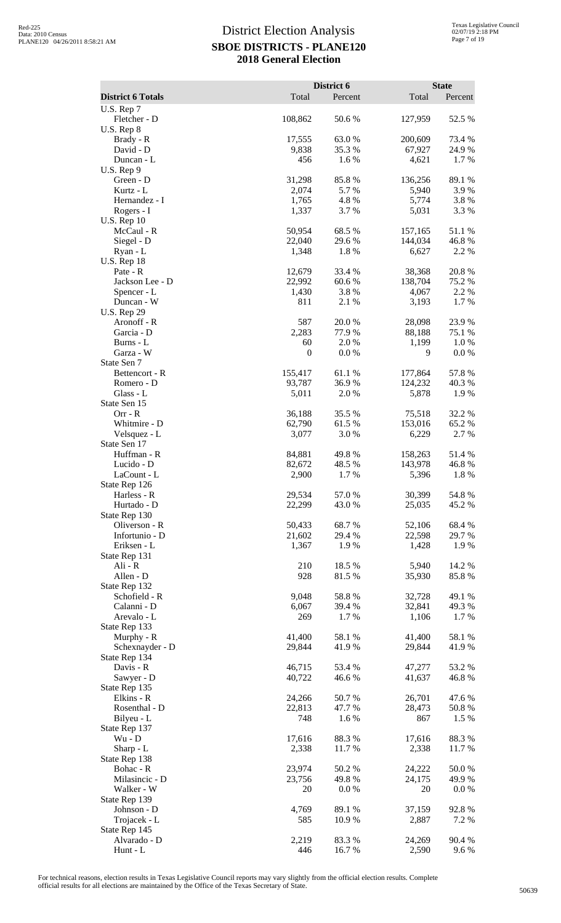|                                   |                  | District 6      |                    | <b>State</b>    |
|-----------------------------------|------------------|-----------------|--------------------|-----------------|
| <b>District 6 Totals</b>          | Total            | Percent         | Total              | Percent         |
| U.S. Rep 7                        |                  |                 |                    |                 |
| Fletcher - D<br>U.S. Rep 8        | 108,862          | 50.6%           | 127,959            | 52.5 %          |
| Brady - R                         | 17,555           | 63.0%           | 200,609            | 73.4 %          |
| David - D                         | 9,838            | 35.3 %          | 67,927             | 24.9%           |
| Duncan - L                        | 456              | 1.6 %           | 4,621              | 1.7%            |
| $U.S.$ Rep $9$                    |                  |                 |                    |                 |
| Green - D                         | 31,298           | 85.8%           | 136,256            | 89.1 %          |
| Kurtz - L<br>Hernandez - I        | 2,074<br>1,765   | 5.7%<br>4.8%    | 5,940<br>5,774     | 3.9%<br>3.8%    |
| Rogers - I                        | 1,337            | 3.7%            | 5,031              | 3.3 %           |
| <b>U.S. Rep 10</b>                |                  |                 |                    |                 |
| McCaul - R                        | 50,954           | 68.5 %          | 157,165            | 51.1%           |
| Siegel - D                        | 22,040           | 29.6%           | 144,034            | 46.8%<br>2.2 %  |
| Ryan - L<br><b>U.S. Rep 18</b>    | 1,348            | 1.8%            | 6,627              |                 |
| Pate - R                          | 12,679           | 33.4 %          | 38,368             | 20.8%           |
| Jackson Lee - D                   | 22,992           | 60.6%           | 138,704            | 75.2 %          |
| Spencer - L                       | 1,430            | 3.8 %           | 4,067              | 2.2 %           |
| Duncan - W                        | 811              | 2.1 %           | 3,193              | 1.7%            |
| <b>U.S. Rep 29</b><br>Aronoff - R | 587              | 20.0%           | 28,098             | 23.9%           |
| Garcia - D                        | 2,283            | 77.9 %          | 88,188             | 75.1 %          |
| Burns - L                         | 60               | 2.0%            | 1,199              | 1.0%            |
| Garza - W                         | $\boldsymbol{0}$ | 0.0 %           | 9                  | $0.0\ \%$       |
| State Sen 7                       |                  |                 |                    |                 |
| Bettencort - R                    | 155,417          | 61.1%           | 177,864            | 57.8%           |
| Romero - D<br>Glass - L           | 93,787<br>5,011  | 36.9%<br>2.0 %  | 124,232<br>5,878   | 40.3%<br>1.9 %  |
| State Sen 15                      |                  |                 |                    |                 |
| $Orr - R$                         | 36,188           | 35.5 %          | 75,518             | 32.2 %          |
| Whitmire - D                      | 62,790           | 61.5%           | 153,016            | 65.2%           |
| Velsquez - L                      | 3,077            | 3.0 %           | 6,229              | 2.7 %           |
| State Sen 17                      |                  |                 |                    |                 |
| Huffman - R<br>Lucido - D         | 84,881<br>82,672 | 49.8%<br>48.5 % | 158,263<br>143,978 | 51.4%<br>46.8%  |
| LaCount - L                       | 2,900            | 1.7%            | 5,396              | 1.8%            |
| State Rep 126                     |                  |                 |                    |                 |
| Harless - R                       | 29,534           | 57.0%           | 30,399             | 54.8%           |
| Hurtado - D                       | 22,299           | 43.0 %          | 25,035             | 45.2%           |
| State Rep 130<br>Oliverson - R    | 50,433           | 68.7 %          | 52,106             | 68.4%           |
| Infortunio - D                    | 21,602           | 29.4 %          | 22,598             | 29.7 %          |
| Eriksen - L                       | 1,367            | 1.9%            | 1,428              | 1.9%            |
| State Rep 131                     |                  |                 |                    |                 |
| Ali - R                           | 210              | 18.5 %          | 5,940              | 14.2 %          |
| Allen - D                         | 928              | 81.5%           | 35,930             | 85.8%           |
| State Rep 132<br>Schofield - R    | 9,048            | 58.8%           | 32,728             | 49.1 %          |
| Calanni - D                       | 6,067            | 39.4 %          | 32,841             | 49.3%           |
| Arevalo - L                       | 269              | 1.7%            | 1,106              | 1.7%            |
| State Rep 133                     |                  |                 |                    |                 |
| Murphy - R                        | 41,400           | 58.1 %          | 41,400             | 58.1 %          |
| Schexnayder - D<br>State Rep 134  | 29,844           | 41.9%           | 29,844             | 41.9%           |
| Davis - R                         | 46,715           | 53.4 %          | 47,277             | 53.2 %          |
| Sawyer - D                        | 40,722           | 46.6 %          | 41,637             | 46.8%           |
| State Rep 135                     |                  |                 |                    |                 |
| Elkins - R                        | 24,266           | 50.7%           | 26,701             | 47.6 %          |
| Rosenthal - D<br>Bilyeu - L       | 22,813<br>748    | 47.7 %<br>1.6 % | 28,473<br>867      | 50.8%<br>1.5 %  |
| State Rep 137                     |                  |                 |                    |                 |
| Wu - D                            | 17,616           | 88.3%           | 17,616             | 88.3%           |
| Sharp - L                         | 2,338            | 11.7 %          | 2,338              | 11.7 %          |
| State Rep 138                     |                  |                 |                    |                 |
| Bohac - R                         | 23,974           | 50.2%           | 24,222             | 50.0%           |
| Milasincic - D<br>Walker - W      | 23,756<br>20     | 49.8%<br>0.0 %  | 24,175<br>20       | 49.9 %<br>0.0 % |
| State Rep 139                     |                  |                 |                    |                 |
| Johnson - D                       | 4,769            | 89.1 %          | 37,159             | 92.8%           |
| Trojacek - L                      | 585              | 10.9 %          | 2,887              | 7.2 %           |
| State Rep 145                     |                  |                 |                    |                 |
| Alvarado - D<br>Hunt - L          | 2,219<br>446     | 83.3%<br>16.7%  | 24,269<br>2,590    | 90.4 %<br>9.6 % |
|                                   |                  |                 |                    |                 |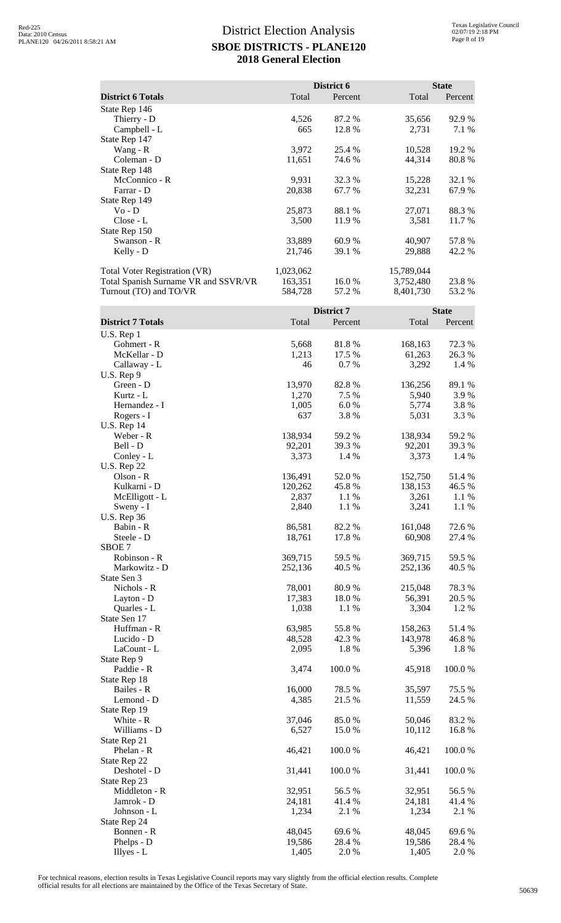|                                      |           | District 6 |            | <b>State</b> |
|--------------------------------------|-----------|------------|------------|--------------|
| <b>District 6 Totals</b>             | Total     | Percent    | Total      | Percent      |
| State Rep 146                        |           |            |            |              |
| Thierry - D                          | 4,526     | 87.2 %     | 35,656     | 92.9 %       |
| Campbell - L                         | 665       | 12.8 %     | 2,731      | 7.1 %        |
| State Rep 147                        |           |            |            |              |
| Wang - R                             | 3,972     | 25.4 %     | 10,528     | 19.2 %       |
| Coleman - D                          | 11,651    | 74.6 %     | 44,314     | 80.8%        |
| State Rep 148                        |           |            |            |              |
| McConnico - R                        | 9,931     | 32.3 %     | 15,228     | 32.1 %       |
| Farrar - D                           | 20,838    | 67.7 %     | 32,231     | 67.9 %       |
| State Rep 149                        |           |            |            |              |
| $Vo - D$                             | 25,873    | 88.1 %     | 27,071     | 88.3 %       |
| Close - L                            | 3,500     | 11.9 %     | 3,581      | 11.7 %       |
| State Rep 150                        |           |            |            |              |
| Swanson - R                          | 33,889    | 60.9%      | 40,907     | 57.8%        |
| Kelly - D                            | 21,746    | 39.1 %     | 29,888     | 42.2 %       |
| <b>Total Voter Registration (VR)</b> | 1,023,062 |            | 15,789,044 |              |
| Total Spanish Surname VR and SSVR/VR | 163,351   | 16.0%      | 3,752,480  | 23.8 %       |
| Turnout (TO) and TO/VR               | 584,728   | 57.2 %     | 8,401,730  | 53.2 %       |

|                          |         | District 7 |         | <b>State</b> |
|--------------------------|---------|------------|---------|--------------|
| <b>District 7 Totals</b> | Total   | Percent    | Total   | Percent      |
| U.S. Rep 1               |         |            |         |              |
| Gohmert - R              | 5,668   | 81.8%      | 168,163 | 72.3 %       |
| McKellar - D             | 1,213   | 17.5 %     | 61,263  | 26.3 %       |
| Callaway - L             | 46      | 0.7%       | 3,292   | 1.4 %        |
| U.S. Rep 9               |         |            |         |              |
| Green - D                | 13,970  | 82.8%      | 136,256 | 89.1 %       |
| Kurtz - L                | 1,270   | 7.5 %      | 5,940   | 3.9%         |
| Hernandez - I            | 1,005   | 6.0%       | 5,774   | 3.8%         |
| Rogers - I               | 637     | 3.8%       | 5,031   | 3.3 %        |
| <b>U.S. Rep 14</b>       |         |            |         |              |
| Weber - R                | 138,934 | 59.2 %     | 138,934 | 59.2%        |
| Bell - D                 | 92,201  | 39.3 %     | 92,201  | 39.3%        |
| Conley - L               | 3,373   | 1.4 %      | 3,373   | 1.4 %        |
| <b>U.S. Rep 22</b>       |         |            |         |              |
| Olson - R                | 136,491 | 52.0%      | 152,750 | 51.4%        |
| Kulkarni - D             | 120,262 | 45.8%      | 138,153 | 46.5 %       |
| McElligott - L           | 2,837   | 1.1 %      | 3,261   | 1.1 %        |
| Sweny - I                | 2,840   | 1.1 %      | 3,241   | 1.1 %        |
| <b>U.S. Rep 36</b>       |         |            |         |              |
| Babin - R                | 86,581  | 82.2 %     | 161,048 | 72.6 %       |
| Steele - D               | 18,761  | 17.8 %     | 60,908  | 27.4 %       |
| SBOE 7                   |         |            |         |              |
| Robinson - R             | 369,715 | 59.5 %     | 369,715 | 59.5 %       |
| Markowitz - D            | 252,136 | 40.5 %     | 252,136 | 40.5 %       |
| State Sen 3              |         |            |         |              |
| Nichols - R              | 78,001  | 80.9%      | 215,048 | 78.3%        |
| Layton - D               | 17,383  | 18.0%      | 56,391  | 20.5 %       |
| Quarles - L              | 1,038   | 1.1 %      | 3,304   | 1.2%         |
| State Sen 17             |         |            |         |              |
| Huffman - R              | 63,985  | 55.8%      | 158,263 | 51.4%        |
| Lucido - D               | 48,528  | 42.3 %     | 143,978 | 46.8%        |
| LaCount - L              | 2,095   | 1.8%       | 5,396   | 1.8%         |
| State Rep 9              |         |            |         |              |
| Paddie - R               | 3,474   | 100.0%     | 45,918  | 100.0%       |
| State Rep 18             |         |            |         |              |
| Bailes - R               | 16,000  | 78.5 %     | 35,597  | 75.5 %       |
| Lemond - D               | 4,385   | 21.5 %     | 11,559  | 24.5 %       |
| State Rep 19             |         |            |         |              |
| White - R                | 37,046  | 85.0%      | 50,046  | 83.2 %       |
| Williams - D             | 6,527   | 15.0%      | 10,112  | 16.8%        |
| State Rep 21             |         |            |         |              |
| Phelan - R               | 46,421  | 100.0%     | 46,421  | 100.0%       |
| State Rep 22             |         |            |         |              |
| Deshotel - D             | 31,441  | 100.0%     | 31,441  | 100.0%       |
| State Rep 23             |         |            |         |              |
| Middleton - R            | 32,951  | 56.5 %     | 32,951  | 56.5 %       |
| Jamrok - D               | 24,181  | 41.4 %     | 24,181  | 41.4 %       |
| Johnson - L              | 1,234   | 2.1 %      | 1,234   | 2.1 %        |
| State Rep 24             |         |            |         |              |
| Bonnen - R               | 48,045  | 69.6%      | 48,045  | 69.6%        |
| Phelps - D               | 19,586  | 28.4 %     | 19,586  | 28.4 %       |
| Illyes - L               | 1,405   | 2.0%       | 1,405   | 2.0 %        |
|                          |         |            |         |              |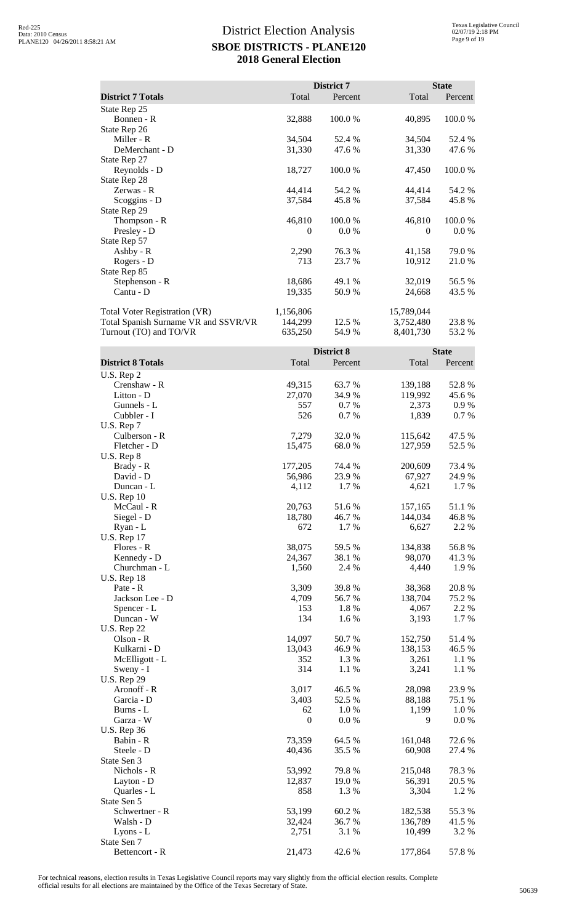|                                      |                  | District 7 |              | <b>State</b> |
|--------------------------------------|------------------|------------|--------------|--------------|
| <b>District 7 Totals</b>             | Total            | Percent    | Total        | Percent      |
| State Rep 25                         |                  |            |              |              |
| Bonnen - R                           | 32,888           | 100.0%     | 40,895       | 100.0%       |
| State Rep 26                         |                  |            |              |              |
| Miller - R                           | 34,504           | 52.4 %     | 34,504       | 52.4 %       |
| DeMerchant - D                       | 31,330           | 47.6 %     | 31,330       | 47.6 %       |
| State Rep 27                         |                  |            |              |              |
| Reynolds - D                         | 18,727           | 100.0%     | 47,450       | 100.0%       |
| State Rep 28                         |                  |            |              |              |
| Zerwas - R                           | 44,414           | 54.2 %     | 44,414       | 54.2 %       |
| Scoggins - D                         | 37,584           | 45.8%      | 37,584       | 45.8%        |
| State Rep 29                         |                  |            |              |              |
| Thompson - R                         | 46,810           | 100.0%     | 46,810       | 100.0%       |
| Presley - D                          | $\boldsymbol{0}$ | 0.0 %      | $\mathbf{0}$ | 0.0 %        |
| State Rep 57                         |                  |            |              |              |
| Ashby - R                            | 2,290            | 76.3%      | 41,158       | 79.0%        |
| Rogers - D                           | 713              | 23.7 %     | 10,912       | 21.0 %       |
| State Rep 85                         |                  |            |              |              |
| Stephenson - R                       | 18,686           | 49.1 %     | 32,019       | 56.5 %       |
| Cantu - D                            | 19,335           | 50.9%      | 24,668       | 43.5 %       |
| <b>Total Voter Registration (VR)</b> | 1,156,806        |            | 15,789,044   |              |
| Total Spanish Surname VR and SSVR/VR | 144,299          | 12.5 %     | 3,752,480    | 23.8%        |
| Turnout (TO) and TO/VR               | 635,250          | 54.9 %     | 8,401,730    | 53.2 %       |
|                                      |                  | District 8 |              | <b>State</b> |
| <b>District 8 Totals</b>             | Total            | Percent    | Total        | Percent      |
| U.S. Rep 2                           |                  |            |              |              |
| Crenshaw - R                         | 49,315           | 63.7 %     | 139,188      | 52.8%        |
| Litton - D                           | 27,070           | 34.9%      | 119,992      | 45.6 %       |
| Gunnels - L                          | 557              | 0.7%       | 2,373        | 0.9%         |
| Cubbler - I                          | 526              | 0.7%       | 1,839        | 0.7%         |
| U.S. Rep 7                           |                  |            |              |              |
| Culberson - R                        | 7,279            | 32.0%      | 115,642      | 47.5 %       |
| Fletcher - D                         | 15,475           | 68.0%      | 127,959      | 52.5 %       |
| U.S. Rep 8                           |                  |            |              |              |
| Brady - R                            | 177,205          | 74.4 %     | 200,609      | 73.4 %       |
| David - D                            | 56,986           | 23.9 %     | 67,927       | 24.9%        |
| Duncan - L                           | 4 1 1 2          | $17\%$     | 4.621        | $17\%$       |

| Crenshaw - R       | 49,315           | 63.7%    | 139,188 | 52.8 %  |
|--------------------|------------------|----------|---------|---------|
| Litton - D         | 27,070           | 34.9%    | 119,992 | 45.6 %  |
| Gunnels - L        | 557              | $0.7~\%$ | 2,373   | $0.9\%$ |
| Cubbler - I        | 526              | 0.7 %    | 1,839   | 0.7 %   |
| U.S. Rep 7         |                  |          |         |         |
| Culberson - R      | 7,279            | 32.0 %   | 115,642 | 47.5 %  |
| Fletcher - D       | 15,475           | 68.0%    | 127,959 | 52.5 %  |
| U.S. Rep 8         |                  |          |         |         |
| Brady - R          | 177,205          | 74.4 %   | 200,609 | 73.4 %  |
| David - D          | 56,986           | 23.9%    | 67,927  | 24.9%   |
| Duncan - L         | 4,112            | 1.7 %    | 4,621   | 1.7%    |
| <b>U.S. Rep 10</b> |                  |          |         |         |
| McCaul - R         | 20,763           | 51.6%    | 157,165 | 51.1 %  |
| Siegel - D         | 18,780           | 46.7%    | 144,034 | 46.8%   |
| Ryan - L           | 672              | 1.7 %    | 6,627   | 2.2 %   |
| <b>U.S. Rep 17</b> |                  |          |         |         |
| Flores - R         | 38,075           | 59.5 %   | 134,838 | 56.8%   |
| Kennedy - D        | 24,367           | 38.1 %   | 98,070  | 41.3%   |
| Churchman - L      | 1,560            | 2.4 %    | 4,440   | 1.9%    |
| <b>U.S. Rep 18</b> |                  |          |         |         |
| Pate - R           | 3,309            | 39.8 %   | 38,368  | 20.8%   |
| Jackson Lee - D    | 4,709            | 56.7%    | 138,704 | 75.2 %  |
| Spencer - L        | 153              | 1.8 %    | 4,067   | 2.2 %   |
| Duncan - W         | 134              | 1.6%     | 3,193   | 1.7%    |
| <b>U.S. Rep 22</b> |                  |          |         |         |
| Olson - R          | 14,097           | 50.7 %   | 152,750 | 51.4%   |
| Kulkarni - D       | 13,043           | 46.9%    | 138,153 | 46.5 %  |
| McElligott - L     | 352              | 1.3 %    | 3,261   | 1.1 %   |
| Sweny - I          | 314              | 1.1 %    | 3,241   | 1.1 %   |
| <b>U.S. Rep 29</b> |                  |          |         |         |
| Aronoff - R        | 3,017            | 46.5 %   | 28,098  | 23.9%   |
| Garcia - D         | 3,403            | 52.5 %   | 88,188  | 75.1 %  |
| Burns - L          | 62               | 1.0%     | 1,199   | 1.0%    |
| Garza - W          | $\boldsymbol{0}$ | 0.0 %    | 9       | $0.0\%$ |
| <b>U.S. Rep 36</b> |                  |          |         |         |
| Babin - R          | 73,359           | 64.5 %   | 161,048 | 72.6%   |
| Steele - D         | 40,436           | 35.5 %   | 60,908  | 27.4 %  |
| State Sen 3        |                  |          |         |         |
| Nichols - R        | 53,992           | 79.8%    | 215,048 | 78.3%   |
| Layton - D         | 12,837           | 19.0 %   | 56,391  | 20.5 %  |
| Quarles - L        | 858              | 1.3 %    | 3,304   | 1.2%    |
| State Sen 5        |                  |          |         |         |
| Schwertner - R     | 53,199           | 60.2%    | 182,538 | 55.3%   |
| Walsh - D          | 32,424           | 36.7 %   | 136,789 | 41.5 %  |
| Lyons - L          | 2,751            | 3.1 %    | 10,499  | 3.2 %   |
| State Sen 7        |                  |          |         |         |
| Bettencort - R     | 21,473           | 42.6%    | 177,864 | 57.8 %  |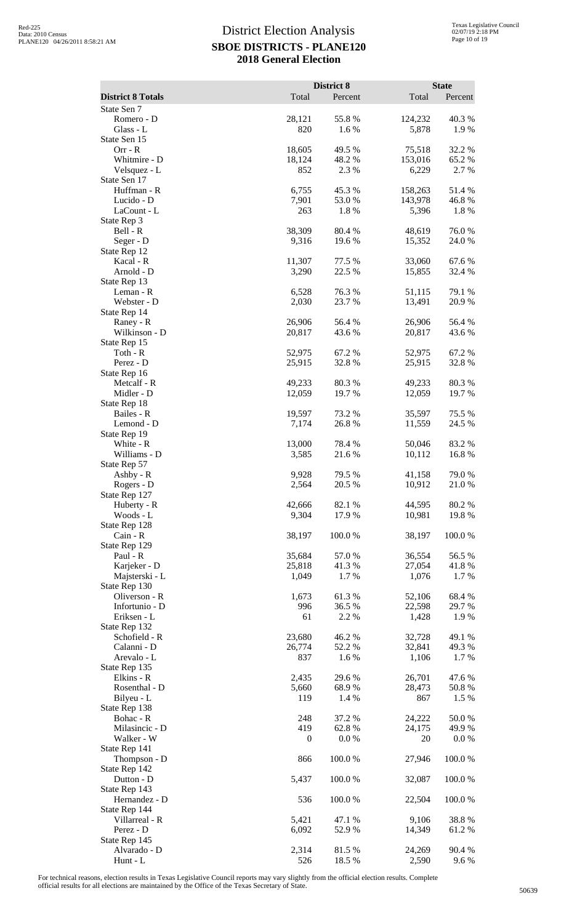|                                |                         | District 8       |                    | <b>State</b>     |
|--------------------------------|-------------------------|------------------|--------------------|------------------|
| <b>District 8 Totals</b>       | Total                   | Percent          | Total              | Percent          |
| State Sen 7<br>Romero - D      | 28,121                  | 55.8%            | 124,232            | 40.3%            |
| Glass - L                      | 820                     | 1.6 %            | 5,878              | 1.9%             |
| State Sen 15<br>$Orr - R$      |                         | 49.5 %           | 75,518             | 32.2 %           |
| Whitmire - D                   | 18,605<br>18,124        | 48.2%            | 153,016            | 65.2 %           |
| Velsquez - L                   | 852                     | 2.3 %            | 6,229              | 2.7 %            |
| State Sen 17                   |                         |                  |                    |                  |
| Huffman - R<br>Lucido - D      | 6,755<br>7,901          | 45.3%<br>53.0%   | 158,263<br>143,978 | 51.4%<br>46.8%   |
| LaCount - L                    | 263                     | 1.8%             | 5,396              | 1.8%             |
| State Rep 3                    |                         |                  |                    |                  |
| Bell - R<br>Seger - D          | 38,309<br>9,316         | 80.4%<br>19.6%   | 48,619<br>15,352   | 76.0%<br>24.0%   |
| State Rep 12                   |                         |                  |                    |                  |
| Kacal - R                      | 11,307                  | 77.5 %           | 33,060             | 67.6%            |
| Arnold - D                     | 3,290                   | 22.5 %           | 15,855             | 32.4 %           |
| State Rep 13<br>Leman - R      | 6,528                   | 76.3%            | 51,115             | 79.1 %           |
| Webster - D                    | 2,030                   | 23.7%            | 13,491             | 20.9%            |
| State Rep 14                   |                         |                  |                    |                  |
| Raney - R<br>Wilkinson - D     | 26,906<br>20,817        | 56.4 %<br>43.6%  | 26,906<br>20,817   | 56.4 %<br>43.6 % |
| State Rep 15                   |                         |                  |                    |                  |
| Toth - $R$                     | 52,975                  | 67.2 %           | 52,975             | 67.2 %           |
| Perez - D                      | 25,915                  | 32.8%            | 25,915             | 32.8 %           |
| State Rep 16<br>Metcalf - R    | 49,233                  | 80.3%            | 49,233             | 80.3%            |
| Midler - D                     | 12,059                  | 19.7 %           | 12,059             | 19.7%            |
| State Rep 18                   |                         |                  |                    |                  |
| Bailes - R<br>Lemond - D       | 19,597<br>7,174         | 73.2 %<br>26.8%  | 35,597<br>11,559   | 75.5 %<br>24.5 % |
| State Rep 19                   |                         |                  |                    |                  |
| White - R                      | 13,000                  | 78.4 %           | 50,046             | 83.2%            |
| Williams - D<br>State Rep 57   | 3,585                   | 21.6%            | 10,112             | 16.8%            |
| Ashby - R                      | 9,928                   | 79.5 %           | 41,158             | 79.0%            |
| Rogers - D                     | 2,564                   | 20.5 %           | 10,912             | 21.0 %           |
| State Rep 127                  | 42,666                  |                  | 44,595             | 80.2%            |
| Huberty - R<br>Woods - L       | 9,304                   | 82.1 %<br>17.9%  | 10,981             | 19.8%            |
| State Rep 128                  |                         |                  |                    |                  |
| Cain - R                       | 38,197                  | 100.0%           | 38,197             | 100.0%           |
| State Rep 129<br>Paul - R      | 35,684                  | 57.0%            | 36,554             | 56.5 %           |
| Karjeker - D                   | 25,818                  | 41.3%            | 27,054             | 41.8%            |
| Majsterski - L                 | 1,049                   | 1.7%             | 1,076              | 1.7 %            |
| State Rep 130<br>Oliverson - R | 1,673                   | 61.3%            | 52,106             | 68.4%            |
| Infortunio - D                 | 996                     | 36.5%            | 22,598             | 29.7 %           |
| Eriksen - L                    | 61                      | 2.2 %            | 1,428              | 1.9%             |
| State Rep 132                  |                         |                  |                    |                  |
| Schofield - R<br>Calanni - D   | 23,680<br>26,774        | 46.2%<br>52.2 %  | 32,728<br>32,841   | 49.1 %<br>49.3 % |
| Arevalo - L                    | 837                     | 1.6%             | 1,106              | 1.7 %            |
| State Rep 135                  |                         |                  |                    |                  |
| Elkins - R<br>Rosenthal - D    | 2,435<br>5,660          | 29.6 %<br>68.9%  | 26,701<br>28,473   | 47.6%<br>50.8%   |
| Bilyeu - L                     | 119                     | 1.4 %            | 867                | 1.5 %            |
| State Rep 138                  |                         |                  |                    |                  |
| Bohac - R                      | 248                     | 37.2 %           | 24,222             | $50.0~\%$        |
| Milasincic - D<br>Walker - W   | 419<br>$\boldsymbol{0}$ | 62.8%<br>0.0 %   | 24,175<br>20       | 49.9%<br>0.0 %   |
| State Rep 141                  |                         |                  |                    |                  |
| Thompson - D                   | 866                     | 100.0%           | 27,946             | 100.0%           |
| State Rep 142<br>Dutton - D    | 5,437                   | 100.0%           | 32,087             | 100.0%           |
| State Rep 143                  |                         |                  |                    |                  |
| Hernandez - D                  | 536                     | 100.0%           | 22,504             | 100.0%           |
| State Rep 144                  |                         |                  |                    |                  |
| Villarreal - R<br>Perez - D    | 5,421<br>6,092          | 47.1 %<br>52.9 % | 9,106<br>14,349    | 38.8%<br>61.2%   |
| State Rep 145                  |                         |                  |                    |                  |
| Alvarado - D                   | 2,314                   | 81.5 %           | 24,269             | 90.4 %           |
| Hunt - L                       | 526                     | 18.5 %           | 2,590              | 9.6%             |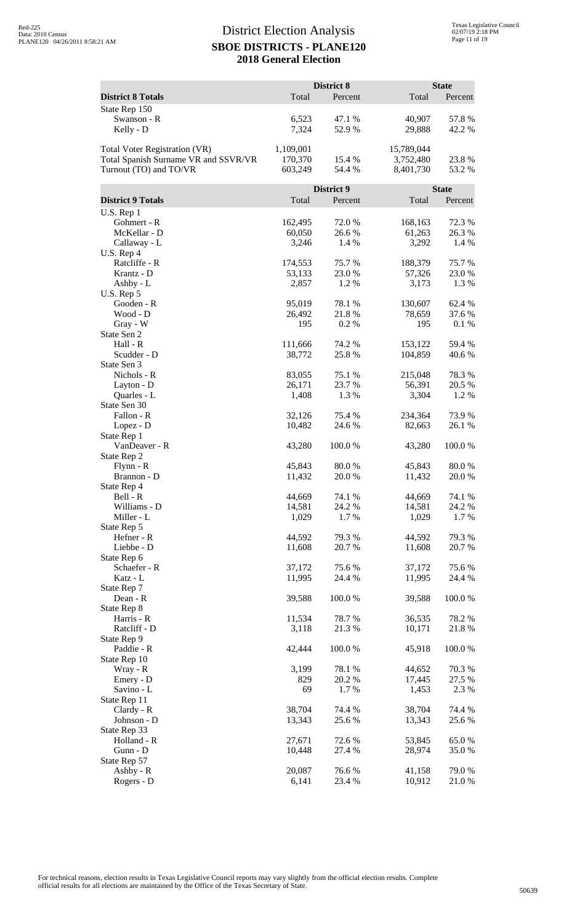|                                      |                  | District 8       |                   | <b>State</b>    |
|--------------------------------------|------------------|------------------|-------------------|-----------------|
| <b>District 8 Totals</b>             | Total            | Percent          | Total             | Percent         |
| State Rep 150                        |                  |                  |                   |                 |
| Swanson - R                          | 6,523            | 47.1 %           | 40,907            | 57.8%           |
| Kelly - D                            | 7,324            | 52.9%            | 29,888            | 42.2 %          |
|                                      |                  |                  |                   |                 |
| Total Voter Registration (VR)        | 1,109,001        |                  | 15,789,044        |                 |
| Total Spanish Surname VR and SSVR/VR | 170,370          | 15.4 %           | 3,752,480         | 23.8%           |
| Turnout (TO) and TO/VR               | 603,249          | 54.4 %           | 8,401,730         | 53.2 %          |
|                                      |                  | District 9       |                   | <b>State</b>    |
| <b>District 9 Totals</b>             | Total            | Percent          | Total             | Percent         |
| $U.S.$ Rep $1$                       |                  |                  |                   |                 |
| Gohmert - R                          | 162,495          | 72.0 %           | 168,163           | 72.3 %          |
| McKellar - D                         | 60,050           | 26.6 %           | 61,263            | 26.3%           |
| Callaway - L                         | 3,246            | 1.4 %            | 3,292             | 1.4 %           |
| U.S. Rep 4<br>Ratcliffe - R          | 174,553          | 75.7%            | 188,379           | 75.7%           |
| Krantz - D                           | 53,133           | 23.0%            | 57,326            | 23.0%           |
| Ashby - L                            | 2,857            | 1.2 %            | 3,173             | 1.3 %           |
| U.S. Rep 5                           |                  |                  |                   |                 |
| Gooden - R                           | 95,019           | 78.1 %           | 130,607           | 62.4 %          |
| Wood - D                             | 26,492           | 21.8%            | 78,659            | 37.6 %          |
| Gray - W                             | 195              | 0.2%             | 195               | 0.1 %           |
| State Sen 2<br>Hall - R              | 111,666          | 74.2 %           | 153,122           | 59.4 %          |
| Scudder - D                          | 38,772           | 25.8 %           | 104,859           | 40.6 %          |
| State Sen 3                          |                  |                  |                   |                 |
| Nichols - R                          | 83,055           | 75.1 %           | 215,048           | 78.3%           |
| Layton - D                           | 26,171           | 23.7 %           | 56,391            | 20.5 %          |
| Quarles - L                          | 1,408            | 1.3 %            | 3,304             | 1.2%            |
| State Sen 30                         |                  |                  |                   |                 |
| Fallon - R<br>Lopez - D              | 32,126<br>10,482 | 75.4 %<br>24.6 % | 234,364<br>82,663 | 73.9%<br>26.1 % |
| State Rep 1                          |                  |                  |                   |                 |
| VanDeaver - R                        | 43,280           | 100.0%           | 43,280            | 100.0%          |
| State Rep 2                          |                  |                  |                   |                 |
| $Flynn - R$                          | 45,843           | 80.0%            | 45,843            | 80.0%           |
| Brannon - D                          | 11,432           | 20.0 %           | 11,432            | 20.0 %          |
| State Rep 4<br>Bell - R              | 44,669           | 74.1 %           | 44,669            | 74.1 %          |
| Williams - D                         | 14,581           | 24.2 %           | 14,581            | 24.2 %          |
| Miller - L                           | 1,029            | 1.7%             | 1,029             | 1.7%            |
| State Rep 5                          |                  |                  |                   |                 |
| Hefner - R                           | 44,592           | 79.3 %           | 44,592            | 79.3 %          |
| Liebbe - D                           | 11,608           | 20.7 %           | 11,608            | 20.7 %          |
| State Rep 6                          |                  |                  |                   |                 |
| Schaefer - R<br>Katz - L             | 37,172<br>11,995 | 75.6%<br>24.4 %  | 37,172<br>11,995  | 75.6%<br>24.4 % |
| State Rep 7                          |                  |                  |                   |                 |
| Dean - R                             | 39,588           | 100.0%           | 39,588            | 100.0%          |
| State Rep 8                          |                  |                  |                   |                 |
| Harris - R                           | 11,534           | 78.7%            | 36,535            | 78.2%           |
| Ratcliff - D                         | 3,118            | 21.3%            | 10,171            | 21.8 %          |
| State Rep 9<br>Paddie - R            | 42,444           | 100.0%           | 45,918            | 100.0%          |
| State Rep 10                         |                  |                  |                   |                 |
| Wray - R                             | 3,199            | 78.1 %           | 44,652            | 70.3%           |
| Emery - D                            | 829              | 20.2 %           | 17,445            | 27.5 %          |
| Savino - L                           | 69               | 1.7%             | 1,453             | 2.3 %           |
| State Rep 11                         |                  |                  |                   |                 |
| Clardy - R                           | 38,704           | 74.4 %           | 38,704            | 74.4 %          |
| Johnson - D<br>State Rep 33          | 13,343           | 25.6 %           | 13,343            | 25.6 %          |
| Holland - R                          | 27,671           | 72.6 %           | 53,845            | 65.0%           |
| Gunn - D                             | 10,448           | 27.4 %           | 28,974            | 35.0%           |
| State Rep 57                         |                  |                  |                   |                 |
| Ashby - R                            | 20,087           | 76.6%            | 41,158            | 79.0%           |
| Rogers - D                           | 6,141            | 23.4 %           | 10,912            | 21.0%           |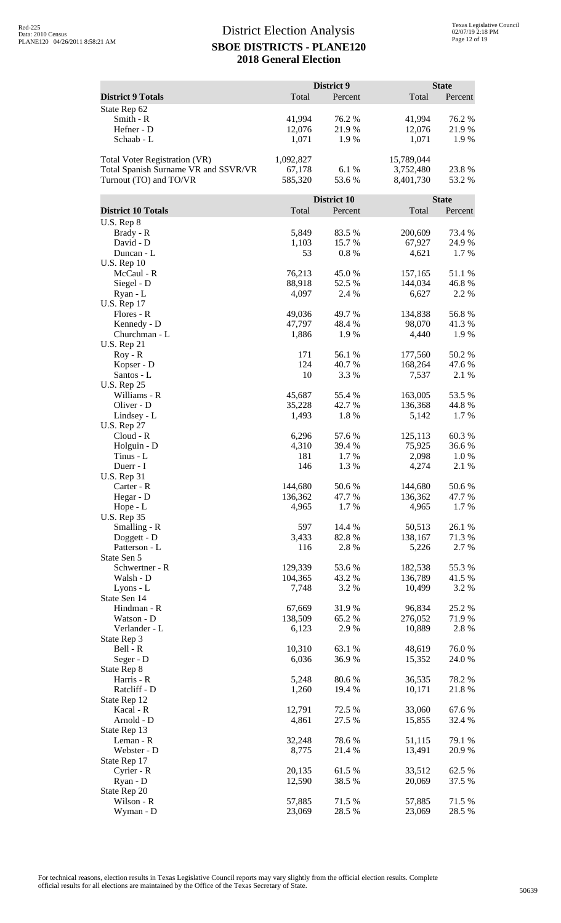|                                                                              |                     | District 9       |                         | <b>State</b>    |
|------------------------------------------------------------------------------|---------------------|------------------|-------------------------|-----------------|
| <b>District 9 Totals</b>                                                     | Total               | Percent          | Total                   | Percent         |
| State Rep 62                                                                 |                     |                  |                         |                 |
| Smith - R<br>Hefner - D                                                      | 41,994<br>12,076    | 76.2 %<br>21.9%  | 41,994<br>12,076        | 76.2 %<br>21.9% |
| Schaab - L                                                                   | 1,071               | 1.9 %            | 1,071                   | 1.9%            |
|                                                                              |                     |                  |                         |                 |
| <b>Total Voter Registration (VR)</b><br>Total Spanish Surname VR and SSVR/VR | 1,092,827<br>67,178 | 6.1%             | 15,789,044<br>3,752,480 | 23.8%           |
| Turnout (TO) and TO/VR                                                       | 585,320             | 53.6%            | 8,401,730               | 53.2 %          |
|                                                                              |                     |                  |                         |                 |
|                                                                              |                     | District 10      |                         | <b>State</b>    |
| <b>District 10 Totals</b><br>U.S. Rep 8                                      | Total               | Percent          | Total                   | Percent         |
| Brady - R                                                                    | 5,849               | 83.5%            | 200,609                 | 73.4 %          |
| David - D                                                                    | 1,103               | 15.7%            | 67,927                  | 24.9 %          |
| Duncan - L                                                                   | 53                  | 0.8%             | 4,621                   | 1.7%            |
| <b>U.S. Rep 10</b><br>McCaul - R                                             | 76,213              | 45.0%            | 157,165                 | 51.1 %          |
| Siegel - D                                                                   | 88,918              | 52.5 %           | 144,034                 | 46.8%           |
| Ryan - L                                                                     | 4,097               | 2.4 %            | 6,627                   | 2.2 %           |
| <b>U.S. Rep 17</b>                                                           |                     |                  |                         |                 |
| Flores - R<br>Kennedy - D                                                    | 49,036<br>47,797    | 49.7 %<br>48.4%  | 134,838<br>98,070       | 56.8%<br>41.3 % |
| Churchman - L                                                                | 1,886               | 1.9%             | 4,440                   | 1.9 %           |
| <b>U.S. Rep 21</b>                                                           |                     |                  |                         |                 |
| $Roy - R$                                                                    | 171                 | 56.1 %           | 177,560                 | 50.2%           |
| Kopser - D<br>Santos - L                                                     | 124<br>10           | 40.7 %<br>3.3 %  | 168,264<br>7,537        | 47.6 %<br>2.1 % |
| <b>U.S. Rep 25</b>                                                           |                     |                  |                         |                 |
| Williams - R                                                                 | 45,687              | 55.4 %           | 163,005                 | 53.5 %          |
| Oliver - D                                                                   | 35,228              | 42.7%            | 136,368                 | 44.8%           |
| Lindsey - L<br><b>U.S. Rep 27</b>                                            | 1,493               | 1.8%             | 5,142                   | 1.7%            |
| $Cloud - R$                                                                  | 6,296               | 57.6 %           | 125,113                 | 60.3%           |
| Holguin - D                                                                  | 4,310               | 39.4 %           | 75,925                  | 36.6 %          |
| Tinus - L                                                                    | 181                 | 1.7 %            | 2,098                   | 1.0 %           |
| Duerr - I<br><b>U.S. Rep 31</b>                                              | 146                 | 1.3%             | 4,274                   | 2.1 %           |
| Carter - R                                                                   | 144,680             | $50.6\;\%$       | 144,680                 | 50.6%           |
| Hegar - D                                                                    | 136,362             | 47.7 %           | 136,362                 | 47.7 %          |
| Hope - L                                                                     | 4,965               | 1.7 %            | 4,965                   | 1.7 %           |
| <b>U.S. Rep 35</b><br>Smalling - R                                           | 597                 | 14.4 %           | 50,513                  | 26.1 %          |
| Doggett - D                                                                  | 3,433               | 82.8%            | 138,167                 | 71.3 %          |
| Patterson - L                                                                | 116                 | 2.8%             | 5,226                   | 2.7 %           |
| State Sen 5                                                                  |                     |                  |                         |                 |
| Schwertner - R<br>Walsh - D                                                  | 129,339<br>104,365  | 53.6%<br>43.2 %  | 182,538<br>136,789      | 55.3%<br>41.5 % |
| Lyons - L                                                                    | 7,748               | 3.2%             | 10,499                  | 3.2 %           |
| State Sen 14                                                                 |                     |                  |                         |                 |
| Hindman - R                                                                  | 67,669              | 31.9%<br>65.2%   | 96,834                  | 25.2 %          |
| Watson - D<br>Verlander - L                                                  | 138,509<br>6,123    | 2.9 %            | 276,052<br>10,889       | 71.9%<br>2.8 %  |
| State Rep 3                                                                  |                     |                  |                         |                 |
| Bell - R                                                                     | 10,310              | 63.1 %           | 48,619                  | 76.0%           |
| Seger - D                                                                    | 6,036               | 36.9 %           | 15,352                  | 24.0 %          |
| State Rep 8<br>Harris - R                                                    | 5,248               | 80.6 %           | 36,535                  | 78.2 %          |
| Ratcliff - D                                                                 | 1,260               | 19.4 %           | 10,171                  | 21.8%           |
| State Rep 12                                                                 |                     |                  |                         |                 |
| Kacal - R<br>Arnold - D                                                      | 12,791<br>4,861     | 72.5 %<br>27.5 % | 33,060<br>15,855        | 67.6%<br>32.4 % |
| State Rep 13                                                                 |                     |                  |                         |                 |
| Leman - R                                                                    | 32,248              | 78.6%            | 51,115                  | 79.1 %          |
| Webster - D                                                                  | 8,775               | 21.4 %           | 13,491                  | 20.9%           |
| State Rep 17<br>Cyrier - R                                                   | 20,135              | 61.5%            | 33,512                  | 62.5 %          |
| Ryan - D                                                                     | 12,590              | 38.5 %           | 20,069                  | 37.5 %          |
| State Rep 20                                                                 |                     |                  |                         |                 |
| Wilson - R                                                                   | 57,885              | 71.5 %           | 57,885                  | 71.5 %          |
| Wyman - D                                                                    | 23,069              | 28.5 %           | 23,069                  | 28.5 %          |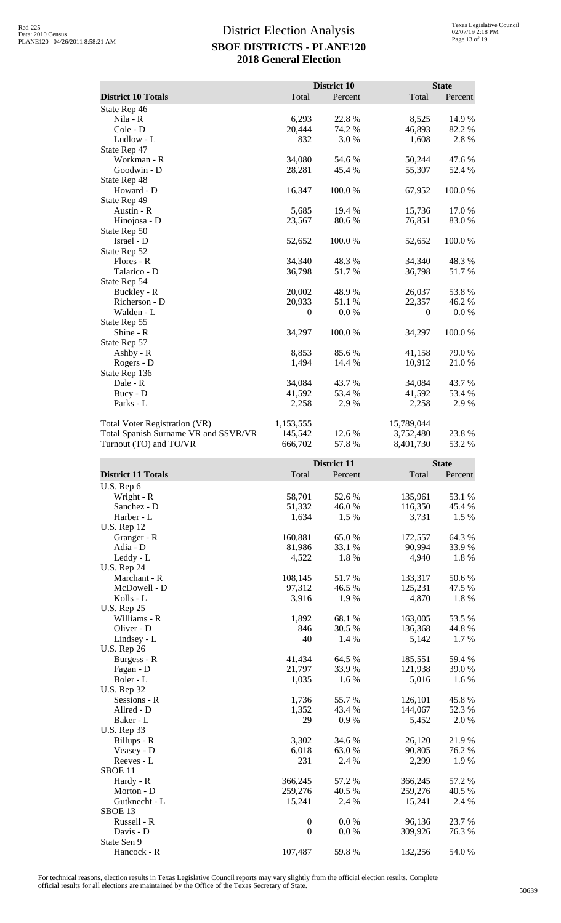|                                      |           | District 10 |            | <b>State</b> |
|--------------------------------------|-----------|-------------|------------|--------------|
| <b>District 10 Totals</b>            | Total     | Percent     | Total      | Percent      |
| State Rep 46                         |           |             |            |              |
| Nila - R                             | 6,293     | 22.8 %      | 8,525      | 14.9%        |
| Cole - D                             | 20,444    | 74.2 %      | 46,893     | 82.2%        |
| Ludlow - L                           | 832       | 3.0%        | 1,608      | 2.8%         |
| State Rep 47                         |           |             |            |              |
| Workman - R                          | 34,080    | 54.6 %      | 50,244     | 47.6%        |
| Goodwin - D                          | 28,281    | 45.4 %      | 55,307     | 52.4 %       |
| State Rep 48                         |           |             |            |              |
| Howard - D                           | 16,347    | 100.0%      | 67,952     | 100.0%       |
| State Rep 49                         |           |             |            |              |
| Austin - R                           | 5,685     | 19.4 %      | 15,736     | 17.0 %       |
| Hinojosa - D                         | 23,567    | 80.6%       | 76,851     | 83.0%        |
| State Rep 50                         |           |             |            |              |
| Israel - D                           | 52,652    | 100.0%      | 52,652     | 100.0%       |
| State Rep 52                         |           |             |            |              |
| Flores - R                           | 34,340    | 48.3 %      | 34,340     | 48.3%        |
| Talarico - D                         | 36,798    | 51.7%       | 36,798     | 51.7%        |
| State Rep 54                         |           |             |            |              |
| Buckley - R                          | 20,002    | 48.9%       | 26,037     | 53.8%        |
| Richerson - D                        | 20,933    | 51.1 %      | 22,357     | 46.2%        |
| Walden - L                           | $\theta$  | 0.0 %       | $\theta$   | 0.0 %        |
| State Rep 55                         |           |             |            |              |
| Shine - R                            | 34,297    | 100.0%      | 34,297     | 100.0%       |
| State Rep 57                         |           |             |            |              |
| Ashby - R                            | 8,853     | 85.6%       | 41,158     | 79.0%        |
| Rogers - D                           | 1,494     | 14.4 %      | 10,912     | 21.0%        |
| State Rep 136                        |           |             |            |              |
| Dale - R                             | 34,084    | 43.7 %      | 34,084     | 43.7 %       |
| Bucy - D                             | 41,592    | 53.4 %      | 41,592     | 53.4 %       |
| Parks - L                            | 2,258     | 2.9%        | 2,258      | 2.9%         |
| <b>Total Voter Registration (VR)</b> | 1,153,555 |             | 15,789,044 |              |
| Total Spanish Surname VR and SSVR/VR | 145,542   | 12.6 %      | 3,752,480  | 23.8%        |
| Turnout (TO) and TO/VR               | 666,702   | 57.8%       | 8,401,730  | 53.2 %       |

|                           |                  | <b>District 11</b> |         | <b>State</b> |
|---------------------------|------------------|--------------------|---------|--------------|
| <b>District 11 Totals</b> | Total            | Percent            | Total   | Percent      |
| U.S. Rep 6                |                  |                    |         |              |
| Wright - R                | 58,701           | 52.6%              | 135,961 | 53.1 %       |
| Sanchez - D               | 51,332           | 46.0%              | 116,350 | 45.4 %       |
| Harber - L                | 1,634            | 1.5 %              | 3,731   | 1.5 %        |
| <b>U.S. Rep 12</b>        |                  |                    |         |              |
| Granger - R               | 160,881          | 65.0%              | 172,557 | 64.3 %       |
| Adia - D                  | 81,986           | 33.1 %             | 90,994  | 33.9%        |
| Leddy - L                 | 4,522            | 1.8%               | 4,940   | 1.8 %        |
| <b>U.S. Rep 24</b>        |                  |                    |         |              |
| Marchant - R              | 108,145          | 51.7%              | 133,317 | 50.6%        |
| McDowell - D              | 97,312           | 46.5 %             | 125,231 | 47.5 %       |
| Kolls - L                 | 3,916            | 1.9%               | 4,870   | 1.8 %        |
| <b>U.S. Rep 25</b>        |                  |                    |         |              |
| Williams - R              | 1,892            | 68.1%              | 163,005 | 53.5 %       |
| Oliver - D                | 846              | 30.5 %             | 136,368 | 44.8%        |
| Lindsey - L               | 40               | 1.4 %              | 5,142   | 1.7%         |
| <b>U.S. Rep 26</b>        |                  |                    |         |              |
| Burgess - R               | 41,434           | 64.5 %             | 185,551 | 59.4 %       |
| Fagan - D                 | 21,797           | 33.9%              | 121,938 | 39.0%        |
| Boler - L                 | 1,035            | 1.6 %              | 5,016   | 1.6%         |
| <b>U.S. Rep 32</b>        |                  |                    |         |              |
| Sessions - R              | 1,736            | 55.7 %             | 126,101 | 45.8%        |
| Allred - D                | 1,352            | 43.4 %             | 144,067 | 52.3 %       |
| Baker - L                 | 29               | 0.9%               | 5,452   | 2.0 %        |
| <b>U.S. Rep 33</b>        |                  |                    |         |              |
| Billups - R               | 3,302            | 34.6 %             | 26,120  | 21.9%        |
| Veasey - D                | 6,018            | 63.0 %             | 90,805  | 76.2 %       |
| Reeves - L                | 231              | 2.4 %              | 2,299   | 1.9%         |
| SBOE <sub>11</sub>        |                  |                    |         |              |
| Hardy - R                 | 366,245          | 57.2 %             | 366,245 | 57.2 %       |
| Morton - D                | 259,276          | 40.5 %             | 259,276 | 40.5 %       |
| Gutknecht - L             | 15,241           | 2.4 %              | 15,241  | 2.4 %        |
| SBOE 13                   |                  |                    |         |              |
| Russell - R               | $\boldsymbol{0}$ | 0.0 %              | 96,136  | 23.7 %       |
| Davis - D                 | $\boldsymbol{0}$ | 0.0 %              | 309,926 | 76.3%        |
| State Sen 9               |                  |                    |         |              |
| Hancock - R               | 107,487          | 59.8%              | 132,256 | 54.0%        |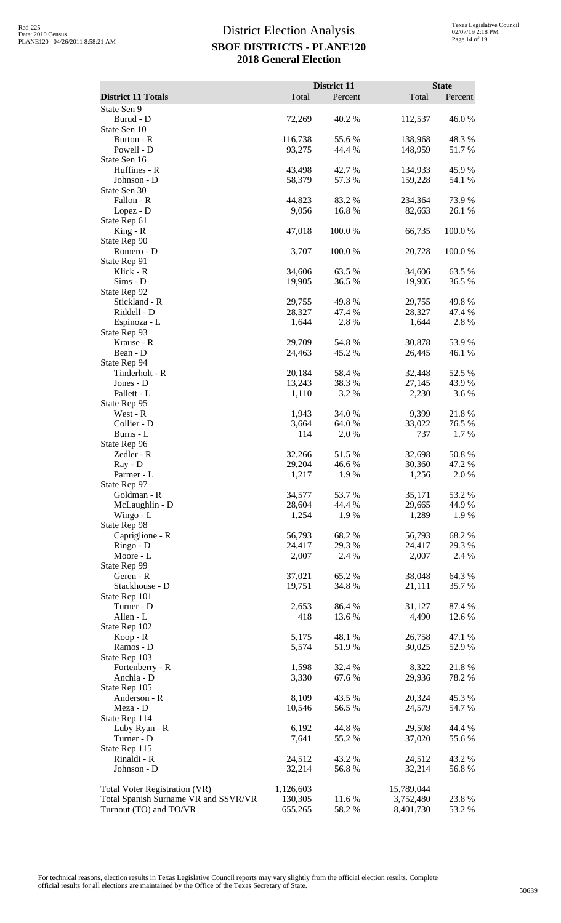|                                      |                  | District 11      |                    | <b>State</b>     |
|--------------------------------------|------------------|------------------|--------------------|------------------|
| <b>District 11 Totals</b>            | Total            | Percent          | Total              | Percent          |
| State Sen 9                          |                  |                  |                    |                  |
| Burud - D<br>State Sen 10            | 72,269           | 40.2 %           | 112,537            | 46.0%            |
| Burton - R                           | 116,738          | 55.6%            | 138,968            | 48.3%            |
| Powell - D                           | 93,275           | 44.4 %           | 148,959            | 51.7%            |
| State Sen 16                         |                  |                  |                    |                  |
| Huffines - R<br>Johnson - D          | 43,498<br>58,379 | 42.7 %<br>57.3 % | 134,933<br>159,228 | 45.9%<br>54.1 %  |
| State Sen 30                         |                  |                  |                    |                  |
| Fallon - R                           | 44,823           | 83.2 %           | 234,364            | 73.9%            |
| Lopez - D                            | 9,056            | 16.8%            | 82,663             | 26.1 %           |
| State Rep 61<br>$King - R$           | 47,018           | 100.0%           | 66,735             | 100.0%           |
| State Rep 90                         |                  |                  |                    |                  |
| Romero - D                           | 3,707            | 100.0%           | 20,728             | 100.0%           |
| State Rep 91                         |                  |                  |                    |                  |
| Klick - R                            | 34,606           | 63.5 %           | 34,606<br>19,905   | 63.5%            |
| Sims - D<br>State Rep 92             | 19,905           | 36.5 %           |                    | 36.5 %           |
| Stickland - R                        | 29,755           | 49.8%            | 29,755             | 49.8%            |
| Riddell - D                          | 28,327           | 47.4 %           | 28,327             | 47.4 %           |
| Espinoza - L                         | 1,644            | 2.8%             | 1,644              | 2.8 %            |
| State Rep 93<br>Krause - R           | 29,709           | 54.8%            | 30,878             | 53.9%            |
| Bean - D                             | 24,463           | 45.2 %           | 26,445             | 46.1 %           |
| State Rep 94                         |                  |                  |                    |                  |
| Tinderholt - R                       | 20,184           | 58.4%            | 32,448             | 52.5 %           |
| Jones - D<br>Pallett - L             | 13,243<br>1,110  | 38.3%<br>3.2%    | 27,145<br>2,230    | 43.9%<br>3.6%    |
| State Rep 95                         |                  |                  |                    |                  |
| West - R                             | 1,943            | 34.0%            | 9,399              | 21.8%            |
| Collier - D                          | 3,664            | 64.0 %           | 33,022             | 76.5 %           |
| Burns - L<br>State Rep 96            | 114              | 2.0 %            | 737                | 1.7%             |
| Zedler - R                           | 32,266           | 51.5%            | 32,698             | 50.8%            |
| Ray - D                              | 29,204           | 46.6%            | 30,360             | 47.2 %           |
| Parmer - L                           | 1,217            | 1.9%             | 1,256              | 2.0%             |
| State Rep 97                         |                  |                  |                    |                  |
| Goldman - R<br>McLaughlin - D        | 34,577<br>28,604 | 53.7%<br>44.4 %  | 35,171<br>29,665   | 53.2 %<br>44.9 % |
| Wingo - L                            | 1,254            | 1.9%             | 1,289              | 1.9%             |
| State Rep 98                         |                  |                  |                    |                  |
| Capriglione - R                      | 56,793           | 68.2%            | 56,793             | 68.2%            |
| Ringo - D<br>Moore - L               | 24,417<br>2,007  | 29.3%<br>2.4 %   | 24,417<br>2,007    | 29.3%<br>2.4 %   |
| State Rep 99                         |                  |                  |                    |                  |
| Geren - R                            | 37,021           | 65.2%            | 38,048             | 64.3 %           |
| Stackhouse - D                       | 19,751           | 34.8 %           | 21,111             | 35.7%            |
| State Rep 101<br>Turner - D          | 2,653            | 86.4%            | 31,127             | 87.4 %           |
| Allen - L                            | 418              | 13.6 %           | 4,490              | 12.6 %           |
| State Rep 102                        |                  |                  |                    |                  |
| Koop - R                             | 5,175            | 48.1 %           | 26,758             | 47.1 %           |
| Ramos - D<br>State Rep 103           | 5,574            | 51.9%            | 30,025             | 52.9%            |
| Fortenberry - R                      | 1,598            | 32.4 %           | 8,322              | 21.8%            |
| Anchia - D                           | 3,330            | 67.6%            | 29,936             | 78.2%            |
| State Rep 105                        |                  |                  |                    |                  |
| Anderson - R                         | 8,109            | 43.5 %           | 20,324             | 45.3%            |
| Meza - D<br>State Rep 114            | 10,546           | 56.5 %           | 24,579             | 54.7 %           |
| Luby Ryan - R                        | 6,192            | 44.8%            | 29,508             | 44.4 %           |
| Turner - D                           | 7,641            | 55.2 %           | 37,020             | 55.6%            |
| State Rep 115                        |                  |                  |                    |                  |
| Rinaldi - R<br>Johnson - D           | 24,512<br>32,214 | 43.2 %<br>56.8%  | 24,512<br>32,214   | 43.2 %<br>56.8%  |
|                                      |                  |                  |                    |                  |
| Total Voter Registration (VR)        | 1,126,603        |                  | 15,789,044         |                  |
| Total Spanish Surname VR and SSVR/VR | 130,305          | 11.6 %           | 3,752,480          | 23.8%            |
| Turnout (TO) and TO/VR               | 655,265          | 58.2%            | 8,401,730          | 53.2 %           |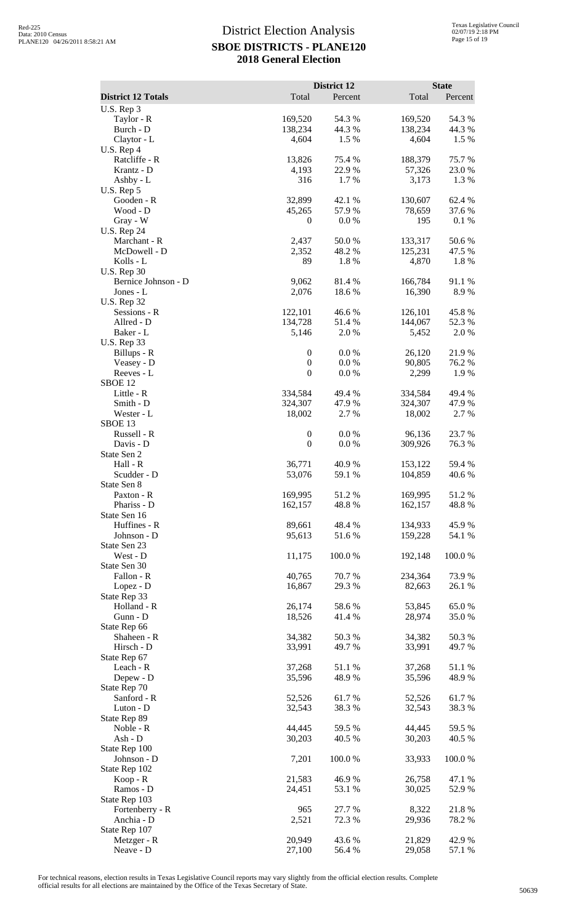|                                 |                                      | District 12      |                    | <b>State</b>    |
|---------------------------------|--------------------------------------|------------------|--------------------|-----------------|
| <b>District 12 Totals</b>       | Total                                | Percent          | Total              | Percent         |
| U.S. Rep 3<br>Taylor - R        | 169,520                              | 54.3 %           | 169,520            | 54.3 %          |
| Burch - D                       | 138,234                              | 44.3 %           | 138,234            | 44.3 %          |
| Claytor - L                     | 4,604                                | 1.5 %            | 4,604              | 1.5 %           |
| U.S. Rep 4                      |                                      |                  |                    |                 |
| Ratcliffe - R<br>Krantz - D     | 13,826                               | 75.4 %<br>22.9%  | 188,379<br>57,326  | 75.7%<br>23.0%  |
| Ashby - L                       | 4,193<br>316                         | 1.7 %            | 3,173              | 1.3%            |
| U.S. Rep 5                      |                                      |                  |                    |                 |
| Gooden - R                      | 32,899                               | 42.1 %           | 130,607            | 62.4 %          |
| Wood - D                        | 45,265                               | 57.9%            | 78,659             | 37.6%           |
| Gray - W<br><b>U.S. Rep 24</b>  | $\boldsymbol{0}$                     | 0.0 %            | 195                | 0.1 %           |
| Marchant - R                    | 2,437                                | 50.0%            | 133,317            | 50.6%           |
| McDowell - D                    | 2,352                                | 48.2%            | 125,231            | 47.5 %          |
| Kolls - L                       | 89                                   | 1.8%             | 4,870              | 1.8 %           |
| <b>U.S. Rep 30</b>              |                                      |                  |                    |                 |
| Bernice Johnson - D             | 9,062<br>2,076                       | 81.4%<br>18.6%   | 166,784<br>16,390  | 91.1%<br>8.9%   |
| Jones - L<br><b>U.S. Rep 32</b> |                                      |                  |                    |                 |
| Sessions - R                    | 122,101                              | 46.6%            | 126,101            | 45.8%           |
| Allred - D                      | 134,728                              | 51.4%            | 144,067            | 52.3 %          |
| Baker - L                       | 5,146                                | 2.0%             | 5,452              | 2.0%            |
| <b>U.S. Rep 33</b>              |                                      |                  |                    |                 |
| Billups - R<br>Veasey - D       | $\boldsymbol{0}$<br>$\boldsymbol{0}$ | 0.0 %<br>0.0 %   | 26,120<br>90,805   | 21.9%<br>76.2 % |
| Reeves - L                      | $\boldsymbol{0}$                     | $0.0\ \%$        | 2,299              | 1.9%            |
| SBOE <sub>12</sub>              |                                      |                  |                    |                 |
| Little - R                      | 334,584                              | 49.4 %           | 334,584            | 49.4 %          |
| Smith - D                       | 324,307                              | 47.9%            | 324,307            | 47.9 %          |
| Wester - L<br>SBOE 13           | 18,002                               | 2.7 %            | 18,002             | 2.7%            |
| Russell - R                     | $\boldsymbol{0}$                     | 0.0 %            | 96,136             | 23.7%           |
| Davis - D                       | $\boldsymbol{0}$                     | 0.0 %            | 309,926            | 76.3%           |
| State Sen 2                     |                                      |                  |                    |                 |
| Hall - R                        | 36,771                               | 40.9%            | 153,122            | 59.4 %<br>40.6% |
| Scudder - D<br>State Sen 8      | 53,076                               | 59.1 %           | 104,859            |                 |
| Paxton - R                      | 169,995                              | 51.2%            | 169,995            | 51.2%           |
| Phariss - D                     | 162,157                              | 48.8%            | 162,157            | 48.8%           |
| State Sen 16                    |                                      |                  |                    |                 |
| Huffines - R<br>Johnson - D     | 89,661<br>95,613                     | 48.4 %           | 134,933<br>159,228 | 45.9%           |
| State Sen 23                    |                                      | 51.6%            |                    | 54.1 %          |
| West - D                        | 11,175                               | 100.0%           | 192,148            | 100.0%          |
| State Sen 30                    |                                      |                  |                    |                 |
| Fallon - R                      | 40,765                               | 70.7%            | 234,364            | 73.9%           |
| Lopez - D                       | 16,867                               | 29.3 %           | 82,663             | 26.1 %          |
| State Rep 33<br>Holland - R     | 26,174                               | 58.6%            | 53,845             | 65.0%           |
| Gunn - D                        | 18,526                               | 41.4%            | 28,974             | 35.0%           |
| State Rep 66                    |                                      |                  |                    |                 |
| Shaheen - R                     | 34,382                               | 50.3%            | 34,382             | 50.3%           |
| Hirsch - D                      | 33,991                               | 49.7%            | 33,991             | 49.7 %          |
| State Rep 67<br>Leach - R       | 37,268                               | 51.1%            | 37,268             | 51.1 %          |
| Depew - D                       | 35,596                               | 48.9%            | 35,596             | 48.9%           |
| State Rep 70                    |                                      |                  |                    |                 |
| Sanford - R                     | 52,526                               | 61.7%            | 52,526             | 61.7%           |
| Luton - D                       | 32,543                               | 38.3%            | 32,543             | 38.3%           |
| State Rep 89<br>Noble - R       | 44,445                               | 59.5 %           | 44,445             | 59.5 %          |
| Ash - D                         | 30,203                               | 40.5 %           | 30,203             | 40.5 %          |
| State Rep 100                   |                                      |                  |                    |                 |
| Johnson - D                     | 7,201                                | 100.0%           | 33,933             | 100.0%          |
| State Rep 102                   |                                      |                  |                    |                 |
| Koop - R<br>Ramos - D           | 21,583<br>24,451                     | 46.9%<br>53.1 %  | 26,758<br>30,025   | 47.1 %<br>52.9% |
| State Rep 103                   |                                      |                  |                    |                 |
| Fortenberry - R                 | 965                                  | 27.7 %           | 8,322              | 21.8%           |
| Anchia - D                      | 2,521                                | 72.3 %           | 29,936             | 78.2 %          |
| State Rep 107                   |                                      |                  |                    |                 |
| Metzger - R<br>Neave - D        | 20,949<br>27,100                     | 43.6 %<br>56.4 % | 21,829<br>29,058   | 42.9%<br>57.1 % |
|                                 |                                      |                  |                    |                 |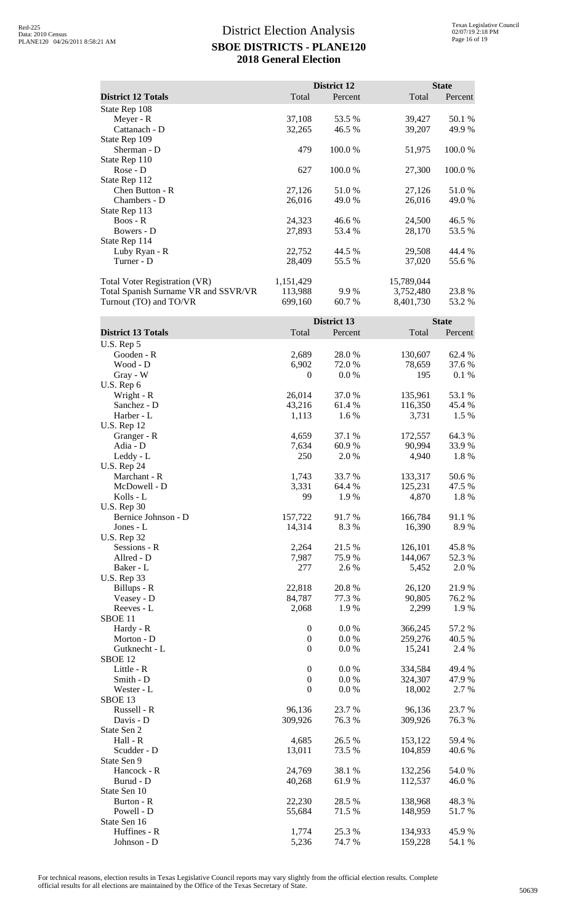|                                      |           | District 12 |            | <b>State</b> |
|--------------------------------------|-----------|-------------|------------|--------------|
| <b>District 12 Totals</b>            | Total     | Percent     | Total      | Percent      |
| State Rep 108                        |           |             |            |              |
| Meyer - R                            | 37,108    | 53.5 %      | 39,427     | 50.1 %       |
| Cattanach - D                        | 32,265    | 46.5 %      | 39,207     | 49.9 %       |
| State Rep 109                        |           |             |            |              |
| Sherman - D                          | 479       | 100.0%      | 51,975     | 100.0 %      |
| State Rep 110                        |           |             |            |              |
| $Rose - D$                           | 627       | 100.0 %     | 27,300     | 100.0%       |
| State Rep 112                        |           |             |            |              |
| Chen Button - R                      | 27,126    | 51.0 %      | 27,126     | 51.0 %       |
| Chambers - D                         | 26,016    | 49.0 %      | 26,016     | 49.0 %       |
| State Rep 113                        |           |             |            |              |
| $B$ oos - $R$                        | 24,323    | 46.6 %      | 24,500     | 46.5 %       |
| Bowers - D                           | 27,893    | 53.4 %      | 28,170     | 53.5 %       |
| State Rep 114                        |           |             |            |              |
| Luby Ryan - R                        | 22,752    | 44.5 %      | 29,508     | 44.4 %       |
| Turner - D                           | 28,409    | 55.5 %      | 37,020     | 55.6 %       |
| <b>Total Voter Registration (VR)</b> | 1,151,429 |             | 15,789,044 |              |
| Total Spanish Surname VR and SSVR/VR | 113,988   | 9.9%        | 3,752,480  | 23.8 %       |
| Turnout (TO) and TO/VR               | 699,160   | 60.7 %      | 8,401,730  | 53.2 %       |

|                           |                  | <b>District 13</b> |         | <b>State</b> |
|---------------------------|------------------|--------------------|---------|--------------|
| <b>District 13 Totals</b> | Total            | Percent            | Total   | Percent      |
| U.S. Rep 5                |                  |                    |         |              |
| Gooden - R                | 2,689            | 28.0%              | 130,607 | 62.4 %       |
| Wood - D                  | 6,902            | 72.0%              | 78,659  | 37.6 %       |
| Gray - W                  | $\boldsymbol{0}$ | 0.0 %              | 195     | 0.1 %        |
| U.S. Rep 6                |                  |                    |         |              |
| Wright - R                | 26,014           | 37.0%              | 135,961 | 53.1 %       |
| Sanchez - D               | 43,216           | 61.4 %             | 116,350 | 45.4 %       |
| Harber - L                | 1,113            | 1.6%               | 3,731   | 1.5 %        |
| <b>U.S. Rep 12</b>        |                  |                    |         |              |
| Granger - R               | 4,659            | 37.1 %             | 172,557 | 64.3%        |
| Adia - D                  | 7,634            | 60.9%              | 90,994  | 33.9%        |
| Leddy - L                 | 250              | 2.0%               | 4,940   | 1.8%         |
| <b>U.S. Rep 24</b>        |                  |                    |         |              |
| Marchant - R              | 1,743            | 33.7 %             | 133,317 | 50.6%        |
| McDowell - D              | 3,331            | 64.4 %             | 125,231 | 47.5 %       |
| Kolls - L                 | 99               | 1.9%               | 4,870   | 1.8%         |
| <b>U.S. Rep 30</b>        |                  |                    |         |              |
| Bernice Johnson - D       | 157,722          | 91.7%              | 166,784 | 91.1%        |
| Jones - L                 | 14,314           | 8.3%               | 16,390  | 8.9%         |
| <b>U.S. Rep 32</b>        |                  |                    |         |              |
| Sessions - R              | 2,264            | 21.5 %             | 126,101 | 45.8%        |
| Allred - D                | 7,987            | 75.9%              | 144,067 | 52.3 %       |
| Baker - L                 | 277              | 2.6 %              | 5,452   | 2.0%         |
| <b>U.S. Rep 33</b>        |                  |                    |         |              |
| Billups - R               | 22,818           | 20.8%              | 26,120  | 21.9%        |
| Veasey - D                | 84,787           | 77.3 %             | 90,805  | 76.2 %       |
| Reeves - L                | 2,068            | 1.9%               | 2,299   | 1.9%         |
| SBOE <sub>11</sub>        |                  |                    |         |              |
| Hardy - R                 | $\boldsymbol{0}$ | 0.0 %              | 366,245 | 57.2 %       |
| Morton - D                | $\boldsymbol{0}$ | 0.0 %              | 259,276 | 40.5 %       |
| Gutknecht - L             | $\boldsymbol{0}$ | 0.0 %              | 15,241  | 2.4 %        |
| SBOE <sub>12</sub>        |                  |                    |         |              |
| Little - R                | $\boldsymbol{0}$ | 0.0 %              | 334,584 | 49.4 %       |
| Smith - D                 | $\boldsymbol{0}$ | 0.0 %              | 324,307 | 47.9%        |
| Wester - L                | $\boldsymbol{0}$ | 0.0 %              | 18,002  | 2.7 %        |
| SBOE 13                   |                  |                    |         |              |
| Russell - R               | 96,136           | 23.7 %             | 96,136  | 23.7 %       |
| Davis - D                 | 309,926          | 76.3%              | 309,926 | 76.3%        |
| State Sen 2               |                  |                    |         |              |
| Hall - R                  | 4,685            | 26.5 %             | 153,122 | 59.4 %       |
| Scudder - D               | 13,011           | 73.5 %             | 104,859 | 40.6%        |
| State Sen 9               |                  |                    |         |              |
| Hancock - R               | 24,769           | 38.1 %             | 132,256 | 54.0 %       |
| Burud - D                 | 40,268           | 61.9%              | 112,537 | 46.0%        |
| State Sen 10              |                  |                    |         |              |
| Burton - R                | 22,230           | 28.5 %             | 138,968 | 48.3%        |
| Powell - D                | 55,684           | 71.5 %             | 148,959 | 51.7%        |
| State Sen 16              |                  |                    |         |              |
| Huffines - R              | 1,774            | 25.3 %             | 134,933 | 45.9%        |
| Johnson - D               | 5,236            | 74.7 %             | 159,228 | 54.1 %       |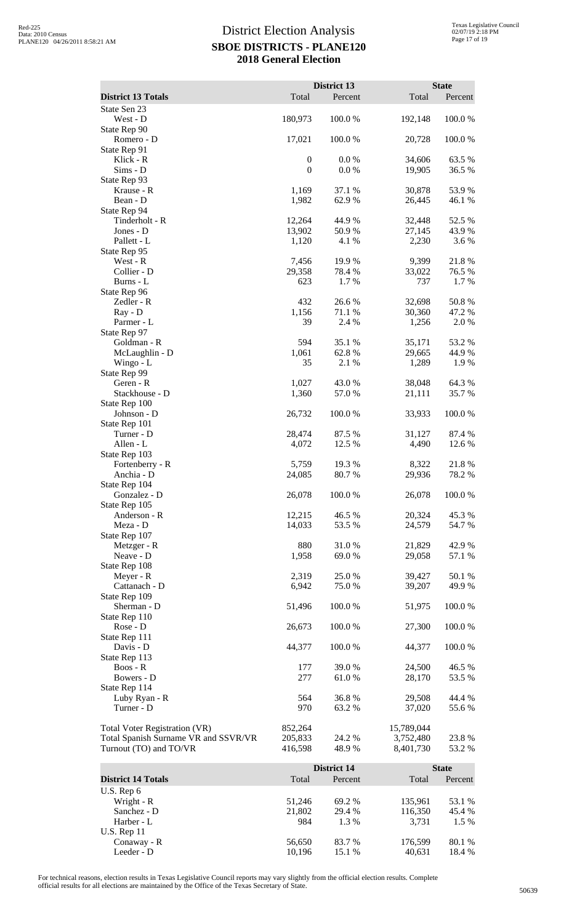|                                           |                  | District 13        |                  | <b>State</b>     |
|-------------------------------------------|------------------|--------------------|------------------|------------------|
| <b>District 13 Totals</b><br>State Sen 23 | Total            | Percent            | Total            | Percent          |
| West - D                                  | 180,973          | 100.0%             | 192,148          | 100.0%           |
| State Rep 90                              |                  |                    |                  |                  |
| Romero - D                                | 17,021           | 100.0%             | 20,728           | 100.0%           |
| State Rep 91<br>Klick - R                 | $\boldsymbol{0}$ | 0.0 %              | 34,606           | 63.5 %           |
| $Sims - D$                                | $\mathbf{0}$     | 0.0 %              | 19,905           | 36.5 %           |
| State Rep 93                              |                  |                    |                  |                  |
| Krause - R<br>Bean - D                    | 1,169<br>1,982   | 37.1 %<br>62.9%    | 30,878<br>26,445 | 53.9%<br>46.1 %  |
| State Rep 94                              |                  |                    |                  |                  |
| Tinderholt - R                            | 12,264           | 44.9%              | 32,448           | 52.5 %           |
| Jones - D<br>Pallett - L                  | 13,902           | 50.9%<br>4.1 %     | 27,145           | 43.9%<br>3.6%    |
| State Rep 95                              | 1,120            |                    | 2,230            |                  |
| West - R                                  | 7,456            | 19.9 %             | 9,399            | 21.8%            |
| Collier - D                               | 29,358           | 78.4 %             | 33,022           | 76.5 %           |
| Burns - L<br>State Rep 96                 | 623              | 1.7%               | 737              | 1.7%             |
| Zedler - R                                | 432              | 26.6%              | 32,698           | 50.8%            |
| Ray - D                                   | 1,156            | 71.1 %             | 30,360           | 47.2 %           |
| Parmer - L                                | 39               | 2.4 %              | 1,256            | 2.0%             |
| State Rep 97<br>Goldman - R               | 594              | 35.1 %             | 35,171           | 53.2 %           |
| McLaughlin - D                            | 1,061            | 62.8%              | 29,665           | 44.9%            |
| Wingo - L                                 | 35               | 2.1 %              | 1,289            | 1.9%             |
| State Rep 99                              |                  |                    |                  |                  |
| Geren - R<br>Stackhouse - D               | 1,027<br>1,360   | 43.0%<br>57.0%     | 38,048<br>21,111 | 64.3 %<br>35.7%  |
| State Rep 100                             |                  |                    |                  |                  |
| Johnson - D                               | 26,732           | 100.0%             | 33,933           | 100.0%           |
| State Rep 101<br>Turner - D               | 28,474           | 87.5 %             |                  | 87.4 %           |
| Allen - L                                 | 4,072            | 12.5 %             | 31,127<br>4,490  | 12.6 %           |
| State Rep 103                             |                  |                    |                  |                  |
| Fortenberry - R                           | 5,759            | 19.3 %             | 8,322            | 21.8%            |
| Anchia - D<br>State Rep 104               | 24,085           | 80.7%              | 29,936           | 78.2 %           |
| Gonzalez - D                              | 26,078           | 100.0%             | 26,078           | 100.0%           |
| State Rep 105                             |                  |                    |                  |                  |
| Anderson - R                              | 12,215           | 46.5 %             | 20,324           | 45.3%            |
| Meza - D<br>State Rep 107                 | 14,033           | 53.5 %             | 24,579           | 54.7 %           |
| Metzger - R                               | 880              | 31.0%              | 21,829           | 42.9 %           |
| Neave - D                                 | 1,958            | 69.0%              | 29,058           | 57.1 %           |
| State Rep 108                             |                  |                    |                  |                  |
| Meyer - R<br>Cattanach - D                | 2,319<br>6,942   | 25.0 %<br>75.0%    | 39,427<br>39,207 | 50.1 %<br>49.9%  |
| State Rep 109                             |                  |                    |                  |                  |
| Sherman - D                               | 51,496           | 100.0%             | 51,975           | 100.0%           |
| State Rep 110<br>Rose - D                 | 26,673           | 100.0%             | 27,300           | 100.0%           |
| State Rep 111                             |                  |                    |                  |                  |
| Davis - D                                 | 44,377           | 100.0 %            | 44,377           | 100.0 %          |
| State Rep 113                             |                  |                    |                  |                  |
| Boos - R<br>Bowers - D                    | 177<br>277       | 39.0%<br>61.0%     | 24,500<br>28,170 | 46.5 %<br>53.5 % |
| State Rep 114                             |                  |                    |                  |                  |
| Luby Ryan - R                             | 564              | 36.8%              | 29,508           | 44.4 %           |
| Turner - D                                | 970              | 63.2%              | 37,020           | 55.6 %           |
| <b>Total Voter Registration (VR)</b>      | 852,264          |                    | 15,789,044       |                  |
| Total Spanish Surname VR and SSVR/VR      | 205,833          | 24.2 %             | 3,752,480        | 23.8%            |
| Turnout (TO) and TO/VR                    | 416,598          | 48.9 %             | 8,401,730        | 53.2 %           |
|                                           |                  | <b>District 14</b> |                  | <b>State</b>     |
| <b>District 14 Totals</b>                 | Total            | Percent            | Total            | Percent          |
| U.S. Rep 6                                |                  |                    |                  |                  |
| Wright - R                                | 51,246           | 69.2 %             | 135,961          | 53.1 %           |
| Sanchez - D<br>Harber - L                 | 21,802           | 29.4 %             | 116,350          | 45.4 %<br>1.5 %  |
| <b>U.S. Rep 11</b>                        | 984              | 1.3 %              | 3,731            |                  |

For technical reasons, election results in Texas Legislative Council reports may vary slightly from the official election results. Complete official results for all elections are maintained by the Office of the Texas Secretary of State. <sup>50639</sup>

Conaway - R 56,650 83.7 % 176,599 80.1 % Leeder - D 10,196 15.1 % 40,631 18.4 %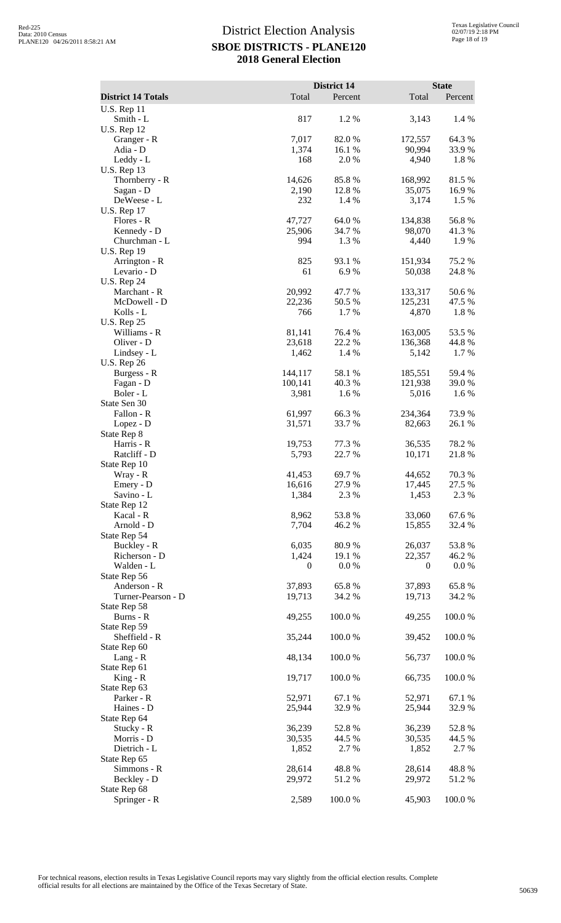|                                   |                 | <b>District 14</b> |                  | <b>State</b>    |
|-----------------------------------|-----------------|--------------------|------------------|-----------------|
| <b>District 14 Totals</b>         | Total           | Percent            | Total            | Percent         |
| <b>U.S. Rep 11</b><br>Smith - L   | 817             | 1.2%               | 3,143            | 1.4 %           |
| <b>U.S. Rep 12</b>                |                 |                    |                  |                 |
| Granger - R                       | 7,017           | 82.0%              | 172,557          | 64.3 %          |
| Adia - D<br>Leddy - L             | 1,374<br>168    | 16.1 %<br>2.0 %    | 90,994<br>4,940  | 33.9%<br>1.8%   |
| <b>U.S. Rep 13</b>                |                 |                    |                  |                 |
| Thornberry - R                    | 14,626          | 85.8%              | 168,992          | 81.5%           |
| Sagan - D                         | 2,190           | 12.8%              | 35,075           | 16.9%           |
| DeWeese - L                       | 232             | 1.4 %              | 3,174            | 1.5 %           |
| <b>U.S. Rep 17</b><br>Flores - R  | 47,727          | 64.0%              | 134,838          | 56.8%           |
| Kennedy - D                       | 25,906          | 34.7 %             | 98,070           | 41.3 %          |
| Churchman - L                     | 994             | 1.3 %              | 4,440            | 1.9 %           |
| <b>U.S. Rep 19</b>                |                 |                    |                  |                 |
| Arrington - R                     | 825             | 93.1 %             | 151,934          | 75.2 %          |
| Levario - D<br><b>U.S. Rep 24</b> | 61              | 6.9%               | 50,038           | 24.8%           |
| Marchant - R                      | 20,992          | 47.7 %             | 133,317          | 50.6%           |
| McDowell - D                      | 22,236          | 50.5 %             | 125,231          | 47.5 %          |
| Kolls - L                         | 766             | 1.7 %              | 4,870            | 1.8%            |
| <b>U.S. Rep 25</b>                |                 |                    |                  |                 |
| Williams - R                      | 81,141          | 76.4 %             | 163,005          | 53.5 %          |
| Oliver - D<br>Lindsey - L         | 23,618<br>1,462 | 22.2 %<br>1.4 %    | 136,368<br>5,142 | 44.8 %<br>1.7%  |
| <b>U.S. Rep 26</b>                |                 |                    |                  |                 |
| Burgess - R                       | 144,117         | 58.1 %             | 185,551          | 59.4 %          |
| Fagan - D                         | 100,141         | 40.3%              | 121,938          | 39.0%           |
| Boler - L<br>State Sen 30         | 3,981           | 1.6 %              | 5,016            | 1.6%            |
| Fallon - R                        | 61,997          | 66.3%              | 234,364          | 73.9%           |
| Lopez - D                         | 31,571          | 33.7 %             | 82,663           | 26.1 %          |
| State Rep 8                       |                 |                    |                  |                 |
| Harris - R                        | 19,753          | 77.3 %             | 36,535           | 78.2%           |
| Ratcliff - D<br>State Rep 10      | 5,793           | 22.7 %             | 10,171           | 21.8%           |
| Wray - R                          | 41,453          | 69.7%              | 44,652           | 70.3%           |
| Emery - D                         | 16,616          | 27.9%              | 17,445           | 27.5 %          |
| Savino - L                        | 1,384           | 2.3 %              | 1,453            | 2.3 %           |
| State Rep 12                      |                 |                    |                  |                 |
| Kacal - R<br>Arnold - D           | 8,962<br>7,704  | 53.8%<br>46.2%     | 33,060<br>15,855 | 67.6%<br>32.4 % |
| State Rep 54                      |                 |                    |                  |                 |
| Buckley - R                       | 6,035           | 80.9%              | 26,037           | 53.8%           |
| Richerson - D                     | 1,424           | 19.1 %             | 22,357           | 46.2 %          |
| Walden - L<br>State Rep 56        | 0               | 0.0 %              | $\theta$         | $0.0\%$         |
| Anderson - R                      | 37,893          | 65.8%              | 37,893           | 65.8%           |
| Turner-Pearson - D                | 19,713          | 34.2 %             | 19,713           | 34.2 %          |
| State Rep 58                      |                 |                    |                  |                 |
| Burns - R                         | 49,255          | 100.0%             | 49,255           | 100.0%          |
| State Rep 59<br>Sheffield - R     | 35,244          | 100.0%             | 39,452           | 100.0%          |
| State Rep 60                      |                 |                    |                  |                 |
| Lang - R                          | 48,134          | 100.0 %            | 56,737           | 100.0%          |
| State Rep 61                      |                 |                    |                  |                 |
| $King - R$                        | 19,717          | 100.0%             | 66,735           | 100.0%          |
| State Rep 63<br>Parker - R        | 52,971          | 67.1 %             | 52,971           | 67.1 %          |
| Haines - D                        | 25,944          | 32.9 %             | 25,944           | 32.9 %          |
| State Rep 64                      |                 |                    |                  |                 |
| Stucky - R                        | 36,239          | 52.8%              | 36,239           | 52.8%           |
| Morris - D                        | 30,535          | 44.5 %             | 30,535           | 44.5 %          |
| Dietrich - L<br>State Rep 65      | 1,852           | 2.7 %              | 1,852            | 2.7 %           |
| Simmons - R                       | 28,614          | 48.8%              | 28,614           | 48.8%           |
| Beckley - D                       | 29,972          | 51.2%              | 29,972           | 51.2 %          |
| State Rep 68                      |                 |                    |                  |                 |
| Springer - R                      | 2,589           | 100.0%             | 45,903           | 100.0 %         |